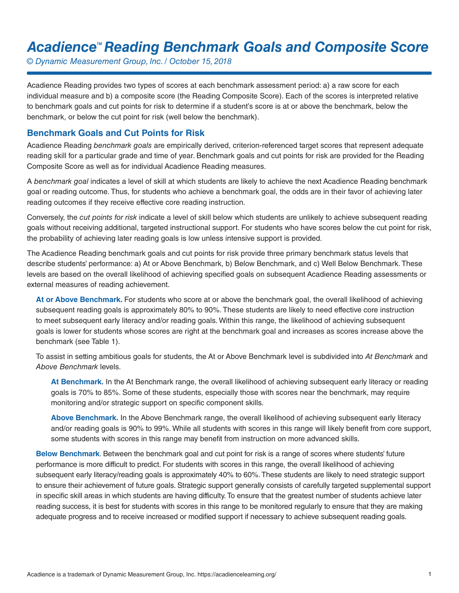# Acadience<sup>™</sup> Reading Benchmark Goals and Composite Score

*© Dynamic Measurement Group, Inc. / October 15, 2018*

Acadience Reading provides two types of scores at each benchmark assessment period: a) a raw score for each individual measure and b) a composite score (the Reading Composite Score). Each of the scores is interpreted relative to benchmark goals and cut points for risk to determine if a student's score is at or above the benchmark, below the benchmark, or below the cut point for risk (well below the benchmark).

#### **Benchmark Goals and Cut Points for Risk**

Acadience Reading *benchmark goals* are empirically derived, criterion-referenced target scores that represent adequate reading skill for a particular grade and time of year. Benchmark goals and cut points for risk are provided for the Reading Composite Score as well as for individual Acadience Reading measures.

A *benchmark goal* indicates a level of skill at which students are likely to achieve the next Acadience Reading benchmark goal or reading outcome. Thus, for students who achieve a benchmark goal, the odds are in their favor of achieving later reading outcomes if they receive effective core reading instruction.

Conversely, the *cut points for risk* indicate a level of skill below which students are unlikely to achieve subsequent reading goals without receiving additional, targeted instructional support. For students who have scores below the cut point for risk, the probability of achieving later reading goals is low unless intensive support is provided.

The Acadience Reading benchmark goals and cut points for risk provide three primary benchmark status levels that describe students' performance: a) At or Above Benchmark, b) Below Benchmark, and c) Well Below Benchmark. These levels are based on the overall likelihood of achieving specified goals on subsequent Acadience Reading assessments or external measures of reading achievement.

**At or Above Benchmark.** For students who score at or above the benchmark goal, the overall likelihood of achieving subsequent reading goals is approximately 80% to 90%. These students are likely to need effective core instruction to meet subsequent early literacy and/or reading goals. Within this range, the likelihood of achieving subsequent goals is lower for students whose scores are right at the benchmark goal and increases as scores increase above the benchmark (see Table 1).

To assist in setting ambitious goals for students, the At or Above Benchmark level is subdivided into *At Benchmark* and *Above Benchmark* levels.

**At Benchmark.** In the At Benchmark range, the overall likelihood of achieving subsequent early literacy or reading goals is 70% to 85%. Some of these students, especially those with scores near the benchmark, may require monitoring and/or strategic support on specific component skills.

**Above Benchmark.** In the Above Benchmark range, the overall likelihood of achieving subsequent early literacy and/or reading goals is 90% to 99%. While all students with scores in this range will likely benefit from core support, some students with scores in this range may benefit from instruction on more advanced skills.

**Below Benchmark**. Between the benchmark goal and cut point for risk is a range of scores where students' future performance is more difficult to predict. For students with scores in this range, the overall likelihood of achieving subsequent early literacy/reading goals is approximately 40% to 60%. These students are likely to need strategic support to ensure their achievement of future goals. Strategic support generally consists of carefully targeted supplemental support in specific skill areas in which students are having difficulty. To ensure that the greatest number of students achieve later reading success, it is best for students with scores in this range to be monitored regularly to ensure that they are making adequate progress and to receive increased or modified support if necessary to achieve subsequent reading goals.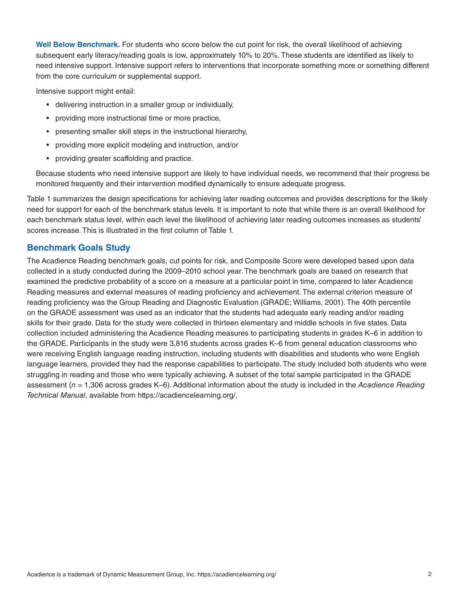**Well Below Benchmark.** For students who score below the cut point for risk, the overall likelihood of achieving subsequent early literacy/reading goals is low, approximately 10% to 20%. These students are identified as likely to need intensive support. Intensive support refers to interventions that incorporate something more or something different from the core curriculum or supplemental support.

Intensive support might entail:

- delivering instruction in a smaller group or individually,
- providing more instructional time or more practice,
- presenting smaller skill steps in the instructional hierarchy,
- providing more explicit modeling and instruction, and/or
- providing greater scaffolding and practice.

Because students who need intensive support are likely to have individual needs, we recommend that their progress be monitored frequently and their intervention modified dynamically to ensure adequate progress.

Table 1 summarizes the design specifications for achieving later reading outcomes and provides descriptions for the likely need for support for each of the benchmark status levels. It is important to note that while there is an overall likelihood for each benchmark status level, within each level the likelihood of achieving later reading outcomes increases as students' scores increase. This is illustrated in the first column of Table 1.

#### **Benchmark Goals Study**

The Acadience Reading benchmark goals, cut points for risk, and Composite Score were developed based upon data collected in a study conducted during the 2009–2010 school year. The benchmark goals are based on research that examined the predictive probability of a score on a measure at a particular point in time, compared to later Acadience Reading measures and external measures of reading proficiency and achievement. The external criterion measure of reading proficiency was the Group Reading and Diagnostic Evaluation (GRADE; Williams, 2001). The 40th percentile on the GRADE assessment was used as an indicator that the students had adequate early reading and/or reading skills for their grade. Data for the study were collected in thirteen elementary and middle schools in five states. Data collection included administering the Acadience Reading measures to participating students in grades K–6 in addition to the GRADE. Participants in the study were 3,816 students across grades K–6 from general education classrooms who were receiving English language reading instruction, including students with disabilities and students who were English language learners, provided they had the response capabilities to participate. The study included both students who were struggling in reading and those who were typically achieving. A subset of the total sample participated in the GRADE assessment (*n* = 1,306 across grades K–6). Additional information about the study is included in the *Acadience Reading Technical Manual*, available from https://acadiencelearning.org/.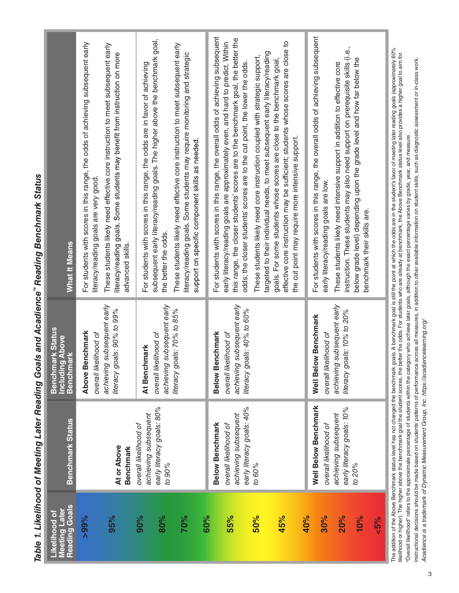| Meeting Later<br>Reading Goals<br>Likelihood of | Benchmark Status                                                                                               | <b>Benchmark Status</b><br>g Above<br>ark<br><b>Benchm</b><br>Including                                                 | What It Means                                                                                                                                                                                                                                                                                                                                                                                                                                                                                                                                                                                                                                                                                                               |
|-------------------------------------------------|----------------------------------------------------------------------------------------------------------------|-------------------------------------------------------------------------------------------------------------------------|-----------------------------------------------------------------------------------------------------------------------------------------------------------------------------------------------------------------------------------------------------------------------------------------------------------------------------------------------------------------------------------------------------------------------------------------------------------------------------------------------------------------------------------------------------------------------------------------------------------------------------------------------------------------------------------------------------------------------------|
| $>99\%$<br>95%                                  | At or Above<br><b>Benchmark</b>                                                                                | subsequent early<br>literacy goals: 90% to 99%<br><b>Above Benchmark</b><br>overall likelihood of<br>achieving          | For students with scores in this range, the odds of achieving subsequent early<br>These students likely need effective core instruction to meet subsequent early<br>literacy/reading goals. Some students may benefit from instruction on more<br>literacy/reading goals are very good<br>advanced skills                                                                                                                                                                                                                                                                                                                                                                                                                   |
| 90%<br>80%<br>70%<br>60%                        | early literacy goals: 80%<br>achieving subsequent<br>overall likelihood of<br>to 90%                           | achieving subsequent early<br>literacy goals: 70% to 85%<br>overall likelihood of<br>At Benchmark                       | subsequent early literacy/reading goals. The higher above the benchmark goal,<br>These students likely need effective core instruction to meet subsequent early<br>literacy/reading goals. Some students may require monitoring and strategic<br>For students with scores in this range, the odds are in favor of achieving<br>support on specific component skills as needed<br>the better the odds.                                                                                                                                                                                                                                                                                                                       |
| 55%<br>45%<br>50%                               | early literacy goals: 40%<br>achieving subsequent<br><b>Below Benchmark</b><br>overall likelihood of<br>00% to | subsequent early<br>als: 40% to 60%<br><b>Below Benchmark</b><br>overall likelihood of<br>achieving<br>literacy gc      | For students with scores in this range, the overall odds of achieving subsequent<br>this range, the closer students' scores are to the benchmark goal, the better the<br>early literacy/reading goals are approximately even, and hard to predict. Within<br>effective core instruction may be sufficient; students whose scores are close to<br>targeted to their individual needs, to meet subsequent early literacy/reading<br>These students likely need core instruction coupled with strategic support,<br>goals. For some students whose scores are close to the benchmark goal,<br>odds; the closer students' scores are to the cut point, the lower the odds.<br>the cut point may require more intensive support. |
| <b>20%</b><br>10%<br>40%<br>30%<br>$5\%$        | Well Below Benchmark<br>early literacy goals: 10%<br>achieving subsequent<br>overall likelihood of<br>to 20%   | subsequent early<br>als: 10% to 20%<br><b>Well Below Benchmark</b><br>overall likelihood of<br>achieving<br>literacy gc | For students with scores in this range, the overall odds of achieving subsequent<br>instruction. These students may also need support on prerequisite skills (i.e.,<br>below grade level) depending upon the grade level and how far below the<br>These students likely need intensive support in addition to effective core<br>early literacy/reading goals are low.<br>benchmark their skills are.                                                                                                                                                                                                                                                                                                                        |
|                                                 |                                                                                                                |                                                                                                                         | The addition of the Above Benchmark status level has not changed the benchmark goals. A benchmark goal is still the point at which the odds are in the student's favor of meeting later reading goals (approximately 60%<br>Ilkel<br>"Overall likelihood" refers to the approximate percentage of students within the category who achieve later goals, although the exact percentage varies by grade, year, and measure.                                                                                                                                                                                                                                                                                                   |

Table 1. Likelihood of Meeting Later Reading Goals and Acadience" Reading Benchmark Status *Table 1. Likelihood of Meeting Later Reading Goals and Acadience*" Reading Benchmark Status

Instructional decisions should be made based on students patterns of performance across all measures, in addition to other available information on student skills, such as diagnostic assessment or in-class work. Instructional decisions should be made based on students' patterns of performance across all measures, in addition to other available information on student skills, such as diagnostic assessment or in-class work. "Overall likelihood" refers to the approximate percentage of students within the category who achieve later goals, although the exact percentage varies by grade, year, and measure. Acadience is a trademark of Dynamic Measurement Group, Inc. https://acadienceleaming.org/ *Acadience is a trademark of Dynamic Measurement Group, Inc. https://acadiencelearning.org/*Ş,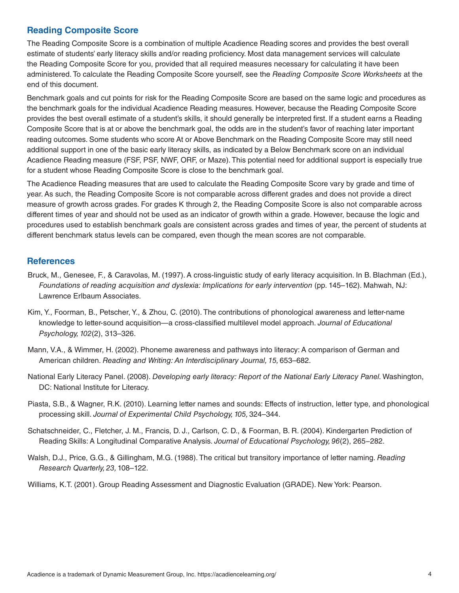### **Reading Composite Score**

The Reading Composite Score is a combination of multiple Acadience Reading scores and provides the best overall estimate of students' early literacy skills and/or reading proficiency. Most data management services will calculate the Reading Composite Score for you, provided that all required measures necessary for calculating it have been administered. To calculate the Reading Composite Score yourself, see the *Reading Composite Score Worksheets* at the end of this document.

Benchmark goals and cut points for risk for the Reading Composite Score are based on the same logic and procedures as the benchmark goals for the individual Acadience Reading measures. However, because the Reading Composite Score provides the best overall estimate of a student's skills, it should generally be interpreted first. If a student earns a Reading Composite Score that is at or above the benchmark goal, the odds are in the student's favor of reaching later important reading outcomes. Some students who score At or Above Benchmark on the Reading Composite Score may still need additional support in one of the basic early literacy skills, as indicated by a Below Benchmark score on an individual Acadience Reading measure (FSF, PSF, NWF, ORF, or Maze). This potential need for additional support is especially true for a student whose Reading Composite Score is close to the benchmark goal.

The Acadience Reading measures that are used to calculate the Reading Composite Score vary by grade and time of year. As such, the Reading Composite Score is not comparable across different grades and does not provide a direct measure of growth across grades. For grades K through 2, the Reading Composite Score is also not comparable across different times of year and should not be used as an indicator of growth within a grade. However, because the logic and procedures used to establish benchmark goals are consistent across grades and times of year, the percent of students at different benchmark status levels can be compared, even though the mean scores are not comparable.

#### **References**

- Bruck, M., Genesee, F., & Caravolas, M. (1997). A cross-linguistic study of early literacy acquisition. In B. Blachman (Ed.), *Foundations of reading acquisition and dyslexia: Implications for early intervention (pp. 145–162). Mahwah, NJ:* Lawrence Erlbaum Associates.
- Kim, Y., Foorman, B., Petscher, Y., & Zhou, C. (2010). The contributions of phonological awareness and letter-name knowledge to letter-sound acquisition—a cross-classified multilevel model approach. *Journal of Educational Psychology, 102*(2), 313–326.
- Mann, V.A., & Wimmer, H. (2002). Phoneme awareness and pathways into literacy: A comparison of German and American children. *Reading and Writing: An Interdisciplinary Journal, 15,* 653–682.
- National Early Literacy Panel. (2008). *Developing early literacy: Report of the National Early Literacy Panel.* Washington, DC: National Institute for Literacy.
- Piasta, S.B., & Wagner, R.K. (2010). Learning letter names and sounds: Effects of instruction, letter type, and phonological processing skill. *Journal of Experimental Child Psychology, 105,* 324–344.
- Schatschneider, C., Fletcher, J. M., Francis, D. J., Carlson, C. D., & Foorman, B. R. (2004). Kindergarten Prediction of Reading Skills: A Longitudinal Comparative Analysis. *Journal of Educational Psychology, 96*(2), 265−282.
- Walsh, D.J., Price, G.G., & Gillingham, M.G. (1988). The critical but transitory importance of letter naming. *Reading Research Quarterly, 23,* 108–122.

Williams, K.T. (2001). Group Reading Assessment and Diagnostic Evaluation (GRADE). New York: Pearson.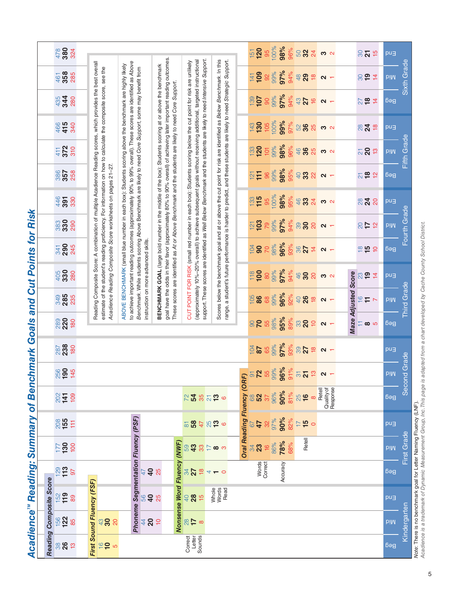Acadience<sup>™</sup> Reading: Summary of Benchmark Goals and Cut Points for Risk *AcadienceTM Reading: Summary of Benchmark Goals and Cut Points for Risk*

| $287$<br>238<br>180<br>256<br>145 | $\frac{2}{5}$ $\frac{1}{2}$ $\frac{1}{5}$ $\frac{1}{5}$                                                                                  | $\frac{208}{155}$<br>Ħ<br>$177$<br>130<br>100                                                    |                                                                                                                                                                                                         |
|-----------------------------------|------------------------------------------------------------------------------------------------------------------------------------------|--------------------------------------------------------------------------------------------------|---------------------------------------------------------------------------------------------------------------------------------------------------------------------------------------------------------|
|                                   |                                                                                                                                          |                                                                                                  |                                                                                                                                                                                                         |
|                                   |                                                                                                                                          |                                                                                                  |                                                                                                                                                                                                         |
|                                   |                                                                                                                                          |                                                                                                  | Phoneme Segmentation Fluency (PSF)                                                                                                                                                                      |
|                                   |                                                                                                                                          |                                                                                                  |                                                                                                                                                                                                         |
|                                   |                                                                                                                                          |                                                                                                  | 59                                                                                                                                                                                                      |
|                                   |                                                                                                                                          |                                                                                                  | $\infty$                                                                                                                                                                                                |
|                                   |                                                                                                                                          |                                                                                                  | 47<br>$\overline{6}$<br>್ಷ $\mathbf{z}$                                                                                                                                                                 |
|                                   |                                                                                                                                          | 90%                                                                                              | 90%<br>78%                                                                                                                                                                                              |
|                                   |                                                                                                                                          | $\frac{1}{6}$<br>25                                                                              | $\overline{1}$<br>$\frac{15}{2}$<br>Retell                                                                                                                                                              |
|                                   |                                                                                                                                          | Quality of<br>Response<br>Retell                                                                 |                                                                                                                                                                                                         |
|                                   |                                                                                                                                          |                                                                                                  |                                                                                                                                                                                                         |
|                                   |                                                                                                                                          |                                                                                                  |                                                                                                                                                                                                         |
|                                   | <b>biM</b>                                                                                                                               | Bed                                                                                              | pu∃<br><b>piM</b>                                                                                                                                                                                       |
|                                   |                                                                                                                                          |                                                                                                  | First Grade                                                                                                                                                                                             |
| pu∃                               | 97%<br>65<br>99%<br>93%<br>$\frac{28}{104}$<br>$\frac{1}{20}$ $\frac{1}{20}$ $\frac{1}{20}$ $\frac{1}{20}$ $\frac{1}{20}$ $\frac{1}{20}$ | Second Grade<br>81%<br>$\frac{2}{5}$ 3 $\frac{1}{2}$ 5 $\frac{1}{2}$ 6 $\frac{1}{2}$<br>$\infty$ | Oral Reading Fluency (ORF)<br>Note: There is no benchmark goal for Letter Naming Fluency (LNF).<br>32%<br>82%<br>587826<br>$\circ$<br>Nonsense Word Fluency (NWF)<br>$16 \over 86\%$<br>68%<br>$38 - 5$ |

rwae: There is no benommark goal ior Letter Naming Fillency (LINF).<br>Acadience is a trademark of Dynamic Measurement Group, Inc. This page is adapted from a chart developed by Cache County School District. *Acadience is a trademark of Dynamic Measurement Group, Inc. This page is adapted from a chart developed by Cache County School District.*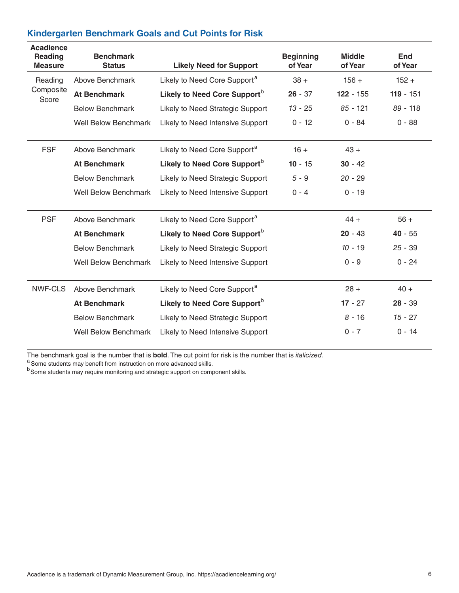| <b>Acadience</b><br><b>Reading</b><br><b>Measure</b> | <b>Benchmark</b><br><b>Status</b> | <b>Likely Need for Support</b>           | <b>Beginning</b><br>of Year | <b>Middle</b><br>of Year | <b>End</b><br>of Year |
|------------------------------------------------------|-----------------------------------|------------------------------------------|-----------------------------|--------------------------|-----------------------|
| Reading                                              | Above Benchmark                   | Likely to Need Core Support <sup>a</sup> | $38 +$                      | $156 +$                  | $152 +$               |
| Composite<br>Score                                   | <b>At Benchmark</b>               | Likely to Need Core Support <sup>b</sup> | $26 - 37$                   | $122 - 155$              | $119 - 151$           |
|                                                      | <b>Below Benchmark</b>            | Likely to Need Strategic Support         | $13 - 25$                   | $85 - 121$               | $89 - 118$            |
|                                                      | <b>Well Below Benchmark</b>       | Likely to Need Intensive Support         | $0 - 12$                    | $0 - 84$                 | $0 - 88$              |
| <b>FSF</b>                                           | Above Benchmark                   | Likely to Need Core Support <sup>a</sup> | $16 +$                      | $43 +$                   |                       |
|                                                      | <b>At Benchmark</b>               | Likely to Need Core Support <sup>b</sup> | $10 - 15$                   | $30 - 42$                |                       |
|                                                      | <b>Below Benchmark</b>            | Likely to Need Strategic Support         | $5 - 9$                     | $20 - 29$                |                       |
|                                                      | <b>Well Below Benchmark</b>       | Likely to Need Intensive Support         | $0 - 4$                     | $0 - 19$                 |                       |
| <b>PSF</b>                                           | Above Benchmark                   | Likely to Need Core Support <sup>a</sup> |                             | $44 +$                   | $56 +$                |
|                                                      | <b>At Benchmark</b>               | Likely to Need Core Support <sup>b</sup> |                             | $20 - 43$                | $40 - 55$             |
|                                                      | <b>Below Benchmark</b>            | Likely to Need Strategic Support         |                             | $10 - 19$                | $25 - 39$             |
|                                                      | <b>Well Below Benchmark</b>       | Likely to Need Intensive Support         |                             | $0 - 9$                  | $0 - 24$              |
| NWF-CLS                                              | Above Benchmark                   | Likely to Need Core Support <sup>a</sup> |                             | $28 +$                   | $40 +$                |
|                                                      | <b>At Benchmark</b>               | Likely to Need Core Support <sup>b</sup> |                             | $17 - 27$                | $28 - 39$             |
|                                                      | <b>Below Benchmark</b>            | Likely to Need Strategic Support         |                             | $8 - 16$                 | $15 - 27$             |
|                                                      | <b>Well Below Benchmark</b>       | Likely to Need Intensive Support         |                             | $0 - 7$                  | $0 - 14$              |
|                                                      |                                   |                                          |                             |                          |                       |

The benchmark goal is the number that is **bold**. The cut point for risk is the number that is *italicized.*<br><sup>a</sup> Some students may benefit from instruction on more advanced skills.

b<br>Some students may require monitoring and strategic support on component skills.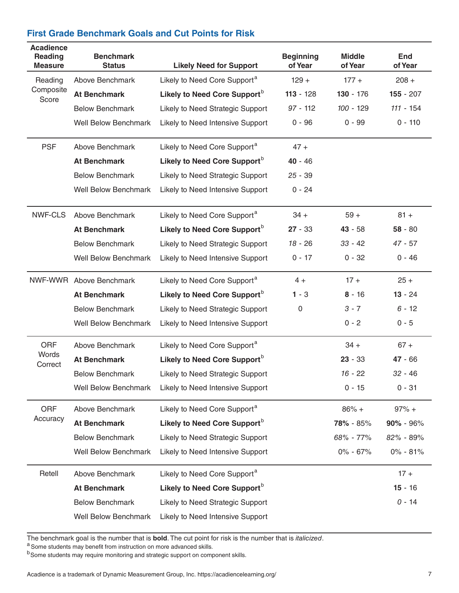### **First Grade Benchmark Goals and Cut Points for Risk**

| <b>Acadience</b><br>Reading<br><b>Measure</b> | <b>Benchmark</b><br><b>Status</b> | <b>Likely Need for Support</b>           | <b>Beginning</b><br>of Year | <b>Middle</b><br>of Year | <b>End</b><br>of Year |
|-----------------------------------------------|-----------------------------------|------------------------------------------|-----------------------------|--------------------------|-----------------------|
| Reading                                       | Above Benchmark                   | Likely to Need Core Support <sup>a</sup> | $129 +$                     | $177 +$                  | $208 +$               |
| Composite<br>Score                            | <b>At Benchmark</b>               | Likely to Need Core Support <sup>b</sup> | $113 - 128$                 | $130 - 176$              | $155 - 207$           |
|                                               | <b>Below Benchmark</b>            | Likely to Need Strategic Support         | $97 - 112$                  | 100 - 129                | $111 - 154$           |
|                                               | <b>Well Below Benchmark</b>       | Likely to Need Intensive Support         | $0 - 96$                    | $0 - 99$                 | $0 - 110$             |
| <b>PSF</b>                                    | Above Benchmark                   | Likely to Need Core Support <sup>a</sup> | $47 +$                      |                          |                       |
|                                               | <b>At Benchmark</b>               | Likely to Need Core Support <sup>b</sup> | $40 - 46$                   |                          |                       |
|                                               | <b>Below Benchmark</b>            | Likely to Need Strategic Support         | $25 - 39$                   |                          |                       |
|                                               | <b>Well Below Benchmark</b>       | Likely to Need Intensive Support         | $0 - 24$                    |                          |                       |
| <b>NWF-CLS</b>                                | Above Benchmark                   | Likely to Need Core Support <sup>a</sup> | $34 +$                      | $59 +$                   | $81 +$                |
|                                               | <b>At Benchmark</b>               | Likely to Need Core Support <sup>b</sup> | $27 - 33$                   | $43 - 58$                | $58 - 80$             |
|                                               | <b>Below Benchmark</b>            | Likely to Need Strategic Support         | $18 - 26$                   | $33 - 42$                | $47 - 57$             |
|                                               | <b>Well Below Benchmark</b>       | Likely to Need Intensive Support         | $0 - 17$                    | $0 - 32$                 | $0 - 46$              |
| NWF-WWR                                       | Above Benchmark                   | Likely to Need Core Support <sup>a</sup> | $4 +$                       | $17 +$                   | $25 +$                |
|                                               | <b>At Benchmark</b>               | Likely to Need Core Support <sup>b</sup> | $1 - 3$                     | $8 - 16$                 | $13 - 24$             |
|                                               | <b>Below Benchmark</b>            | Likely to Need Strategic Support         | 0                           | $3 - 7$                  | $6 - 12$              |
|                                               | <b>Well Below Benchmark</b>       | Likely to Need Intensive Support         |                             | $0 - 2$                  | $0 - 5$               |
| <b>ORF</b>                                    | Above Benchmark                   | Likely to Need Core Support <sup>a</sup> |                             | $34 +$                   | $67 +$                |
| Words<br>Correct                              | <b>At Benchmark</b>               | Likely to Need Core Support <sup>b</sup> |                             | $23 - 33$                | $47 - 66$             |
|                                               | <b>Below Benchmark</b>            | Likely to Need Strategic Support         |                             | $16 - 22$                | $32 - 46$             |
|                                               | <b>Well Below Benchmark</b>       | Likely to Need Intensive Support         |                             | $0 - 15$                 | 0 - 31                |
| ORF                                           | Above Benchmark                   | Likely to Need Core Support <sup>a</sup> |                             | $86% +$                  | $97% +$               |
| Accuracy                                      | <b>At Benchmark</b>               | Likely to Need Core Support <sup>b</sup> |                             | 78% - 85%                | $90\% - 96\%$         |
|                                               | <b>Below Benchmark</b>            | Likely to Need Strategic Support         |                             | 68% - 77%                | 82% - 89%             |
|                                               | <b>Well Below Benchmark</b>       | Likely to Need Intensive Support         |                             | $0\% - 67\%$             | $0\% - 81\%$          |
| Retell                                        | Above Benchmark                   | Likely to Need Core Support <sup>a</sup> |                             |                          | $17 +$                |
|                                               | <b>At Benchmark</b>               | Likely to Need Core Support <sup>b</sup> |                             |                          | $15 - 16$             |
|                                               | <b>Below Benchmark</b>            | Likely to Need Strategic Support         |                             |                          | $0 - 14$              |
|                                               | <b>Well Below Benchmark</b>       | Likely to Need Intensive Support         |                             |                          |                       |

The benchmark goal is the number that is **bold**. The cut point for risk is the number that is *italicized*. <sup>a</sup> Some students may benefit from instruction on more advanced skills.

b<sub>Some students</sub> may require monitoring and strategic support on component skills.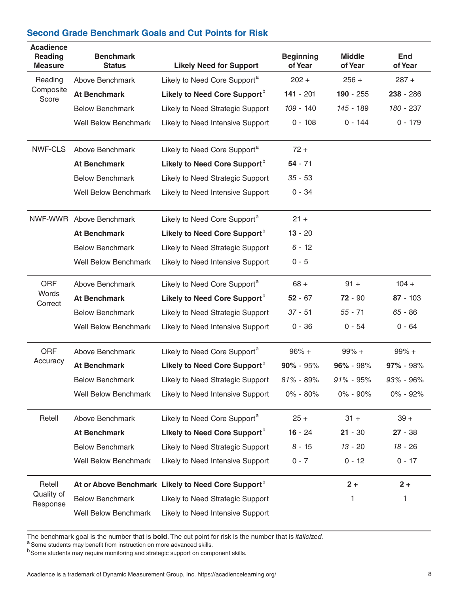#### **Second Grade Benchmark Goals and Cut Points for Risk**

| <b>Acadience</b><br><b>Reading</b><br><b>Measure</b> | <b>Benchmark</b><br><b>Status</b> | <b>Likely Need for Support</b>                                 | <b>Beginning</b><br>of Year | <b>Middle</b><br>of Year | <b>End</b><br>of Year |
|------------------------------------------------------|-----------------------------------|----------------------------------------------------------------|-----------------------------|--------------------------|-----------------------|
| Reading                                              | Above Benchmark                   | Likely to Need Core Support <sup>a</sup>                       | $202 +$                     | $256 +$                  | $287 +$               |
| Composite<br>Score                                   | <b>At Benchmark</b>               | Likely to Need Core Support <sup>b</sup>                       | $141 - 201$                 | $190 - 255$              | $238 - 286$           |
|                                                      | <b>Below Benchmark</b>            | Likely to Need Strategic Support                               | 109 - 140                   | 145 - 189                | 180 - 237             |
|                                                      | <b>Well Below Benchmark</b>       | Likely to Need Intensive Support                               | $0 - 108$                   | $0 - 144$                | $0 - 179$             |
| NWF-CLS                                              | Above Benchmark                   | Likely to Need Core Support <sup>a</sup>                       | $72 +$                      |                          |                       |
|                                                      | <b>At Benchmark</b>               | Likely to Need Core Support <sup>b</sup>                       | $54 - 71$                   |                          |                       |
|                                                      | <b>Below Benchmark</b>            | Likely to Need Strategic Support                               | $35 - 53$                   |                          |                       |
|                                                      | <b>Well Below Benchmark</b>       | Likely to Need Intensive Support                               | $0 - 34$                    |                          |                       |
|                                                      | NWF-WWR Above Benchmark           | Likely to Need Core Support <sup>a</sup>                       | $21 +$                      |                          |                       |
|                                                      | <b>At Benchmark</b>               | Likely to Need Core Support <sup>b</sup>                       | $13 - 20$                   |                          |                       |
|                                                      | <b>Below Benchmark</b>            | Likely to Need Strategic Support                               | $6 - 12$                    |                          |                       |
|                                                      | <b>Well Below Benchmark</b>       | Likely to Need Intensive Support                               | $0 - 5$                     |                          |                       |
| <b>ORF</b>                                           | Above Benchmark                   | Likely to Need Core Support <sup>a</sup>                       | $68 +$                      | $91 +$                   | $104 +$               |
| Words<br>Correct                                     | <b>At Benchmark</b>               | Likely to Need Core Support <sup>b</sup>                       | $52 - 67$                   | $72 - 90$                | $87 - 103$            |
|                                                      | <b>Below Benchmark</b>            | Likely to Need Strategic Support                               | $37 - 51$                   | $55 - 71$                | $65 - 86$             |
|                                                      | <b>Well Below Benchmark</b>       | Likely to Need Intensive Support                               | $0 - 36$                    | $0 - 54$                 | $0 - 64$              |
| <b>ORF</b>                                           | Above Benchmark                   | Likely to Need Core Support <sup>a</sup>                       | $96% +$                     | $99% +$                  | $99% +$               |
| Accuracy                                             | <b>At Benchmark</b>               | Likely to Need Core Support <sup>b</sup>                       | $90\% - 95\%$               | $96\% - 98\%$            | 97% - 98%             |
|                                                      | <b>Below Benchmark</b>            | Likely to Need Strategic Support                               | $81\% - 89\%$               | $91\% - 95\%$            | 93% - 96%             |
|                                                      | <b>Well Below Benchmark</b>       | Likely to Need Intensive Support                               | $0\% - 80\%$                | 0% - 90%                 | 0% - 92%              |
| Retell                                               | Above Benchmark                   | Likely to Need Core Support <sup>a</sup>                       | $25 +$                      | $31 +$                   | $39 +$                |
|                                                      | <b>At Benchmark</b>               | Likely to Need Core Support <sup>b</sup>                       | $16 - 24$                   | $21 - 30$                | $27 - 38$             |
|                                                      | <b>Below Benchmark</b>            | Likely to Need Strategic Support                               | $8 - 15$                    | $13 - 20$                | $18 - 26$             |
|                                                      | <b>Well Below Benchmark</b>       | Likely to Need Intensive Support                               | $0 - 7$                     | $0 - 12$                 | $0 - 17$              |
| Retell                                               |                                   | At or Above Benchmark Likely to Need Core Support <sup>b</sup> |                             | $2 +$                    | $2+$                  |
| Quality of<br>Response                               | <b>Below Benchmark</b>            | Likely to Need Strategic Support                               |                             | 1                        | 1                     |
|                                                      | Well Below Benchmark              | Likely to Need Intensive Support                               |                             |                          |                       |

The benchmark goal is the number that is **bold**. The cut point for risk is the number that is *italicized*. <sup>a</sup> Some students may benefit from instruction on more advanced skills.

b<sub>Some students may require monitoring and strategic support on component skills.</sub>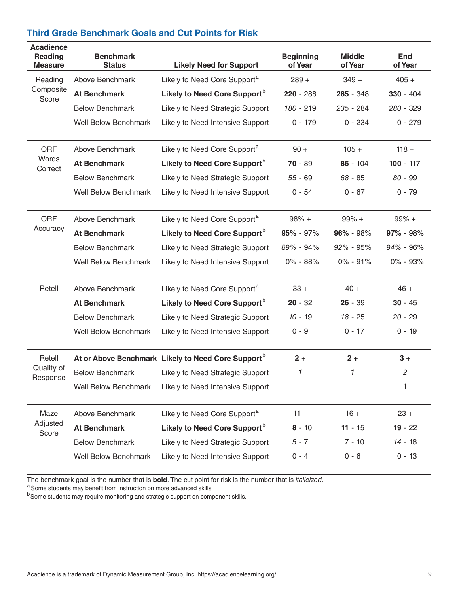| <b>Acadience</b><br>Reading<br><b>Measure</b> | <b>Benchmark</b><br><b>Status</b> | <b>Likely Need for Support</b>           | <b>Beginning</b><br>of Year | <b>Middle</b><br>of Year | End<br>of Year |
|-----------------------------------------------|-----------------------------------|------------------------------------------|-----------------------------|--------------------------|----------------|
| Reading                                       | Above Benchmark                   | Likely to Need Core Support <sup>a</sup> | $289 +$                     | $349 +$                  | $405 +$        |
| Composite<br>Score                            | <b>At Benchmark</b>               | Likely to Need Core Support <sup>b</sup> | $220 - 288$                 | $285 - 348$              | $330 - 404$    |
|                                               | <b>Below Benchmark</b>            | <b>Likely to Need Strategic Support</b>  | $180 - 219$                 | $235 - 284$              | 280 - 329      |
|                                               | Well Below Benchmark              | Likely to Need Intensive Support         | $0 - 179$                   | $0 - 234$                | $0 - 279$      |
| <b>ORF</b>                                    | Above Benchmark                   | Likely to Need Core Support <sup>a</sup> | $90 +$                      | $105 +$                  | $118 +$        |
| <b>Words</b><br>Correct                       | <b>At Benchmark</b>               | Likely to Need Core Support <sup>b</sup> | $70 - 89$                   | $86 - 104$               | $100 - 117$    |

# **Third Grade Benchmark Goals and Cut Points for Risk**

| <i>vvorus</i><br>Correct | <b>At Benchmark</b>         | Likely to Need Core Support <sup>D</sup>                       | $70 - 89$     | $86 - 104$    | $100 - 117$    |
|--------------------------|-----------------------------|----------------------------------------------------------------|---------------|---------------|----------------|
|                          | <b>Below Benchmark</b>      | Likely to Need Strategic Support                               | $55 - 69$     | 68 - 85       | $80 - 99$      |
|                          | <b>Well Below Benchmark</b> | Likely to Need Intensive Support                               | $0 - 54$      | $0 - 67$      | $0 - 79$       |
|                          |                             |                                                                |               |               |                |
| <b>ORF</b>               | Above Benchmark             | Likely to Need Core Support <sup>a</sup>                       | $98% +$       | $99% +$       | $99% +$        |
| Accuracy                 | <b>At Benchmark</b>         | Likely to Need Core Support <sup>b</sup>                       | $95\% - 97\%$ | $96\% - 98\%$ | $97\% - 98\%$  |
|                          | <b>Below Benchmark</b>      | Likely to Need Strategic Support                               | 89% - 94%     | $92\% - 95\%$ | $94\% - 96\%$  |
|                          | <b>Well Below Benchmark</b> | Likely to Need Intensive Support                               | $0\% - 88\%$  | $0\% - 91\%$  | $0\% - 93\%$   |
| Retell                   | Above Benchmark             | Likely to Need Core Support <sup>a</sup>                       | $33 +$        | $40 +$        | $46 +$         |
|                          |                             | Likely to Need Core Support <sup>b</sup>                       | $20 - 32$     | $26 - 39$     | $30 - 45$      |
|                          | <b>At Benchmark</b>         |                                                                |               |               |                |
|                          | <b>Below Benchmark</b>      | Likely to Need Strategic Support                               | $10 - 19$     | $18 - 25$     | $20 - 29$      |
|                          | <b>Well Below Benchmark</b> | Likely to Need Intensive Support                               | $0 - 9$       | $0 - 17$      | $0 - 19$       |
| Retell                   |                             | At or Above Benchmark Likely to Need Core Support <sup>b</sup> | $2+$          | $2 +$         | $3+$           |
| Quality of<br>Response   | <b>Below Benchmark</b>      | Likely to Need Strategic Support                               | 1             | $\mathcal I$  | $\overline{c}$ |
|                          | <b>Well Below Benchmark</b> | Likely to Need Intensive Support                               |               |               | 1              |
|                          |                             |                                                                |               |               |                |
| Maze                     | Above Benchmark             | Likely to Need Core Support <sup>a</sup>                       | $11 +$        | $16 +$        | $23 +$         |
| Adjusted<br>Score        | <b>At Benchmark</b>         | Likely to Need Core Support <sup>b</sup>                       | $8 - 10$      | $11 - 15$     | $19 - 22$      |
|                          | <b>Below Benchmark</b>      | Likely to Need Strategic Support                               | $5 - 7$       | $7 - 10$      | $14 - 18$      |
|                          | <b>Well Below Benchmark</b> | Likely to Need Intensive Support                               | $0 - 4$       | $0 - 6$       | $0 - 13$       |
|                          |                             |                                                                |               |               |                |

The benchmark goal is the number that is **bold**. The cut point for risk is the number that is *italicized*. A Some students may benefit from instruction on more advanced skills.

b<sub>Some students may require monitoring and strategic support on component skills.</sub>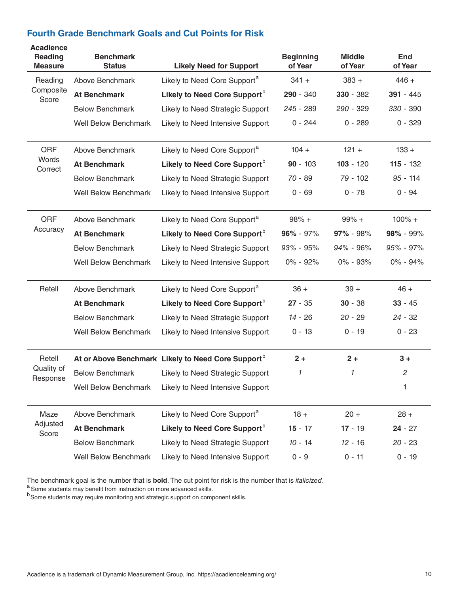| <b>Acadience</b><br>Reading<br><b>Measure</b> | <b>Benchmark</b><br><b>Status</b> | <b>Likely Need for Support</b>                                 | <b>Beginning</b><br>of Year | <b>Middle</b><br>of Year | <b>End</b><br>of Year |
|-----------------------------------------------|-----------------------------------|----------------------------------------------------------------|-----------------------------|--------------------------|-----------------------|
| Reading                                       | Above Benchmark                   | Likely to Need Core Support <sup>a</sup>                       | $341 +$                     | $383 +$                  | $446 +$               |
| Composite<br>Score                            | <b>At Benchmark</b>               | Likely to Need Core Support <sup>b</sup>                       | 290 - 340                   | $330 - 382$              | $391 - 445$           |
|                                               | <b>Below Benchmark</b>            | Likely to Need Strategic Support                               | 245 - 289                   | 290 - 329                | 330 - 390             |
|                                               | <b>Well Below Benchmark</b>       | Likely to Need Intensive Support                               | $0 - 244$                   | $0 - 289$                | $0 - 329$             |
| <b>ORF</b>                                    | <b>Above Benchmark</b>            | Likely to Need Core Support <sup>a</sup>                       | $104 +$                     | $121 +$                  | $133 +$               |
| Words<br>Correct                              | <b>At Benchmark</b>               | Likely to Need Core Support <sup>b</sup>                       | $90 - 103$                  | $103 - 120$              | $115 - 132$           |
|                                               | <b>Below Benchmark</b>            | Likely to Need Strategic Support                               | 70 - 89                     | 79 - 102                 | $95 - 114$            |
|                                               | <b>Well Below Benchmark</b>       | Likely to Need Intensive Support                               | $0 - 69$                    | $0 - 78$                 | $0 - 94$              |
| <b>ORF</b>                                    | Above Benchmark                   | Likely to Need Core Support <sup>a</sup>                       | $98% +$                     | $99% +$                  | $100\% +$             |
| Accuracy                                      | <b>At Benchmark</b>               | Likely to Need Core Support <sup>b</sup>                       | $96\% - 97\%$               | $97\% - 98\%$            | 98% - 99%             |
|                                               | <b>Below Benchmark</b>            | Likely to Need Strategic Support                               | $93\% - 95\%$               | 94% - 96%                | $95\% - 97\%$         |
|                                               | <b>Well Below Benchmark</b>       | Likely to Need Intensive Support                               | $0\% - 92\%$                | $0\% - 93\%$             | $0\% - 94\%$          |
| Retell                                        | Above Benchmark                   | Likely to Need Core Support <sup>a</sup>                       | $36 +$                      | $39 +$                   | $46 +$                |
|                                               | <b>At Benchmark</b>               | Likely to Need Core Support <sup>b</sup>                       | $27 - 35$                   | $30 - 38$                | $33 - 45$             |
|                                               | <b>Below Benchmark</b>            | Likely to Need Strategic Support                               | 14 - 26                     | $20 - 29$                | $24 - 32$             |
|                                               | <b>Well Below Benchmark</b>       | Likely to Need Intensive Support                               | $0 - 13$                    | $0 - 19$                 | $0 - 23$              |
| Retell                                        |                                   | At or Above Benchmark Likely to Need Core Support <sup>b</sup> | $2 +$                       | $2 +$                    | $3+$                  |
| Quality of<br>Response                        | <b>Below Benchmark</b>            | Likely to Need Strategic Support                               | 1                           | 1                        | $\overline{c}$        |
|                                               | <b>Well Below Benchmark</b>       | Likely to Need Intensive Support                               |                             |                          | 1                     |
| Maze                                          | Above Benchmark                   | Likely to Need Core Support <sup>a</sup>                       | $18 +$                      | $20 +$                   | $28 +$                |
| Adjusted<br>Score                             | <b>At Benchmark</b>               | Likely to Need Core Support <sup>b</sup>                       | $15 - 17$                   | $17 - 19$                | $24 - 27$             |
|                                               | <b>Below Benchmark</b>            | Likely to Need Strategic Support                               | $10 - 14$                   | $12 - 16$                | $20 - 23$             |
|                                               | <b>Well Below Benchmark</b>       | Likely to Need Intensive Support                               | $0 - 9$                     | $0 - 11$                 | $0 - 19$              |

The benchmark goal is the number that is **bold**. The cut point for risk is the number that is *italicized*. a Some students may benefit from instruction on more advanced skills.

b<sub>Some students may believe next monitoring and strategic support on component skills.</sub>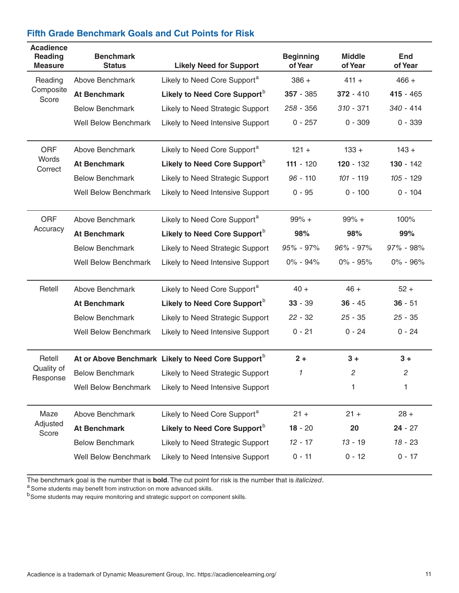| <b>Fifth Grade Benchmark Goals and Cut Points for Risk</b> |  |  |  |
|------------------------------------------------------------|--|--|--|
|------------------------------------------------------------|--|--|--|

| <b>Acadience</b><br><b>Reading</b><br><b>Measure</b> | <b>Benchmark</b><br><b>Status</b> | <b>Likely Need for Support</b>                                 | <b>Beginning</b><br>of Year | <b>Middle</b><br>of Year | <b>End</b><br>of Year |
|------------------------------------------------------|-----------------------------------|----------------------------------------------------------------|-----------------------------|--------------------------|-----------------------|
| Reading                                              | Above Benchmark                   | Likely to Need Core Support <sup>a</sup>                       | $386 +$                     | $411 +$                  | $466 +$               |
| Composite<br>Score                                   | <b>At Benchmark</b>               | Likely to Need Core Support <sup>b</sup>                       | $357 - 385$                 | $372 - 410$              | $415 - 465$           |
|                                                      | <b>Below Benchmark</b>            | Likely to Need Strategic Support                               | 258 - 356                   | $310 - 371$              | $340 - 414$           |
|                                                      | <b>Well Below Benchmark</b>       | Likely to Need Intensive Support                               | $0 - 257$                   | $0 - 309$                | $0 - 339$             |
| <b>ORF</b>                                           | Above Benchmark                   | Likely to Need Core Support <sup>a</sup>                       | $121 +$                     | $133 +$                  | $143 +$               |
| Words<br>Correct                                     | <b>At Benchmark</b>               | Likely to Need Core Support <sup>b</sup>                       | $111 - 120$                 | $120 - 132$              | $130 - 142$           |
|                                                      | <b>Below Benchmark</b>            | Likely to Need Strategic Support                               | $96 - 110$                  | $101 - 119$              | $105 - 129$           |
|                                                      | <b>Well Below Benchmark</b>       | Likely to Need Intensive Support                               | $0 - 95$                    | $0 - 100$                | $0 - 104$             |
| <b>ORF</b>                                           | Above Benchmark                   | Likely to Need Core Support <sup>a</sup>                       | $99% +$                     | $99% +$                  | 100%                  |
| Accuracy                                             | <b>At Benchmark</b>               | Likely to Need Core Support <sup>b</sup>                       | 98%                         | 98%                      | 99%                   |
|                                                      | <b>Below Benchmark</b>            | Likely to Need Strategic Support                               | $95\% - 97\%$               | $96\% - 97\%$            | $97\% - 98\%$         |
|                                                      | <b>Well Below Benchmark</b>       | Likely to Need Intensive Support                               | $0\% - 94\%$                | $0\% - 95\%$             | $0\% - 96\%$          |
| Retell                                               | Above Benchmark                   | Likely to Need Core Support <sup>a</sup>                       | $40 +$                      | $46 +$                   | $52 +$                |
|                                                      | <b>At Benchmark</b>               | Likely to Need Core Support <sup>b</sup>                       | $33 - 39$                   | $36 - 45$                | $36 - 51$             |
|                                                      | <b>Below Benchmark</b>            | Likely to Need Strategic Support                               | $22 - 32$                   | $25 - 35$                | $25 - 35$             |
|                                                      | <b>Well Below Benchmark</b>       | Likely to Need Intensive Support                               | $0 - 21$                    | $0 - 24$                 | $0 - 24$              |
| Retell                                               |                                   | At or Above Benchmark Likely to Need Core Support <sup>b</sup> | $2 +$                       | $3+$                     | $3+$                  |
| Quality of                                           | <b>Below Benchmark</b>            | Likely to Need Strategic Support                               | 1                           | $\overline{c}$           | $\overline{c}$        |
| Response                                             | <b>Well Below Benchmark</b>       | Likely to Need Intensive Support                               |                             | 1                        | 1                     |
| Maze                                                 | Above Benchmark                   | Likely to Need Core Support <sup>a</sup>                       | $21 +$                      | $21 +$                   | $28 +$                |
| Adjusted<br>Score                                    | <b>At Benchmark</b>               | Likely to Need Core Support <sup>b</sup>                       | $18 - 20$                   | 20                       | $24 - 27$             |
|                                                      | <b>Below Benchmark</b>            | Likely to Need Strategic Support                               | $12 - 17$                   | $13 - 19$                | $18 - 23$             |
|                                                      | <b>Well Below Benchmark</b>       | Likely to Need Intensive Support                               | $0 - 11$                    | $0 - 12$                 | $0 - 17$              |

The benchmark goal is the number that is **bold**. The cut point for risk is the number that is *italicized*.<br><sup>a</sup> Some students may benefit from instruction on more advanced skills.

b Some students may explore monitoring and strategic support on component skills.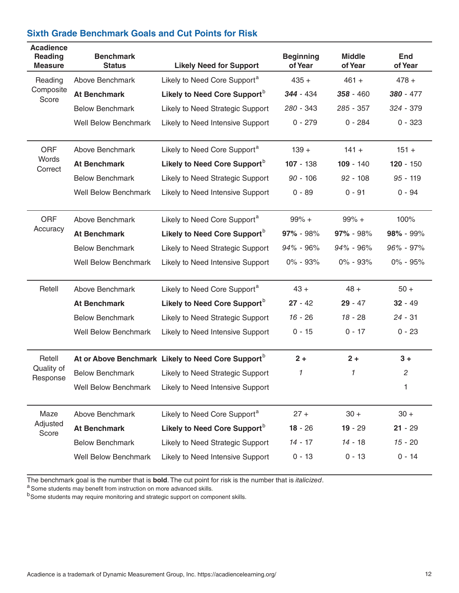| <b>Acadience</b><br><b>Reading</b><br><b>Measure</b> | <b>Benchmark</b><br><b>Status</b> | <b>Likely Need for Support</b>                                 | <b>Beginning</b><br>of Year | <b>Middle</b><br>of Year | <b>End</b><br>of Year |
|------------------------------------------------------|-----------------------------------|----------------------------------------------------------------|-----------------------------|--------------------------|-----------------------|
| Reading                                              | Above Benchmark                   | Likely to Need Core Support <sup>a</sup>                       | $435 +$                     | $461 +$                  | $478 +$               |
| Composite<br>Score                                   | <b>At Benchmark</b>               | Likely to Need Core Support <sup>b</sup>                       | $344 - 434$                 | $358 - 460$              | $380 - 477$           |
|                                                      | <b>Below Benchmark</b>            | Likely to Need Strategic Support                               | 280 - 343                   | 285 - 357                | 324 - 379             |
|                                                      | <b>Well Below Benchmark</b>       | Likely to Need Intensive Support                               | $0 - 279$                   | $0 - 284$                | $0 - 323$             |
| <b>ORF</b>                                           | Above Benchmark                   | Likely to Need Core Support <sup>a</sup>                       | $139 +$                     | $141 +$                  | $151 +$               |
| Words<br>Correct                                     | <b>At Benchmark</b>               | Likely to Need Core Support <sup>b</sup>                       | $107 - 138$                 | $109 - 140$              | $120 - 150$           |
|                                                      | <b>Below Benchmark</b>            | Likely to Need Strategic Support                               | $90 - 106$                  | $92 - 108$               | $95 - 119$            |
|                                                      | <b>Well Below Benchmark</b>       | Likely to Need Intensive Support                               | $0 - 89$                    | $0 - 91$                 | $0 - 94$              |
| <b>ORF</b>                                           | Above Benchmark                   | Likely to Need Core Support <sup>a</sup>                       | $99% +$                     | $99% +$                  | 100%                  |
| Accuracy                                             | <b>At Benchmark</b>               | Likely to Need Core Support <sup>b</sup>                       | 97% - 98%                   | 97% - 98%                | $98\% - 99\%$         |
|                                                      | <b>Below Benchmark</b>            | Likely to Need Strategic Support                               | 94% - 96%                   | 94% - 96%                | $96\% - 97\%$         |
|                                                      | <b>Well Below Benchmark</b>       | Likely to Need Intensive Support                               | 0% - 93%                    | $0\% - 93\%$             | $0\% - 95\%$          |
| Retell                                               | Above Benchmark                   | Likely to Need Core Support <sup>a</sup>                       | $43 +$                      | $48 +$                   | $50+$                 |
|                                                      | <b>At Benchmark</b>               | Likely to Need Core Support <sup>b</sup>                       | $27 - 42$                   | $29 - 47$                | $32 - 49$             |
|                                                      | <b>Below Benchmark</b>            | Likely to Need Strategic Support                               | $16 - 26$                   | 18 - 28                  | $24 - 31$             |
|                                                      | <b>Well Below Benchmark</b>       | Likely to Need Intensive Support                               | $0 - 15$                    | $0 - 17$                 | $0 - 23$              |
| Retell                                               |                                   | At or Above Benchmark Likely to Need Core Support <sup>b</sup> | $2 +$                       | $2 +$                    | $3+$                  |
| Quality of<br>Response                               | <b>Below Benchmark</b>            | Likely to Need Strategic Support                               | 1                           | 1                        | $\overline{c}$        |
|                                                      | <b>Well Below Benchmark</b>       | Likely to Need Intensive Support                               |                             |                          | 1                     |
| Maze                                                 | Above Benchmark                   | Likely to Need Core Support <sup>a</sup>                       | $27 +$                      | $30 +$                   | $30 +$                |
| Adjusted<br>Score                                    | <b>At Benchmark</b>               | Likely to Need Core Support <sup>b</sup>                       | $18 - 26$                   | $19 - 29$                | $21 - 29$             |
|                                                      | <b>Below Benchmark</b>            | Likely to Need Strategic Support                               | $14 - 17$                   | $14 - 18$                | $15 - 20$             |
|                                                      | <b>Well Below Benchmark</b>       | Likely to Need Intensive Support                               | $0 - 13$                    | $0 - 13$                 | $0 - 14$              |

#### **Sixth Grade Benchmark Goals and Cut Points for Risk**

The benchmark goal is the number that is **bold**. The cut point for risk is the number that is *italicized*. A Some students may benefit from instruction on more advanced skills.

b Some students may require monitoring and strategic support on component skills.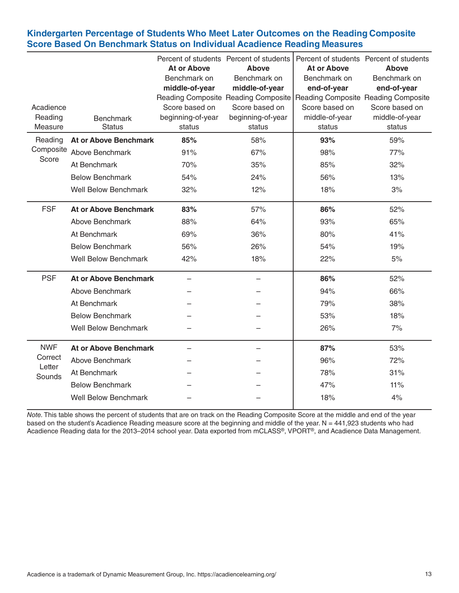## **Kindergarten Percentage of Students Who Meet Later Outcomes on the Reading Composite Score Based On Benchmark Status on Individual Acadience Reading Measures**

|                    |                                   | <b>At or Above</b> | Percent of students Percent of students<br>Above | Percent of students Percent of students<br><b>At or Above</b> | <b>Above</b>   |
|--------------------|-----------------------------------|--------------------|--------------------------------------------------|---------------------------------------------------------------|----------------|
|                    |                                   | Benchmark on       | Benchmark on                                     | Benchmark on                                                  | Benchmark on   |
|                    |                                   | middle-of-year     | middle-of-year                                   | end-of-year                                                   | end-of-year    |
|                    |                                   |                    | Reading Composite Reading Composite              | Reading Composite Reading Composite                           |                |
| Acadience          |                                   | Score based on     | Score based on                                   | Score based on                                                | Score based on |
| Reading            | <b>Benchmark</b><br><b>Status</b> | beginning-of-year  | beginning-of-year                                | middle-of-year                                                | middle-of-year |
| Measure            |                                   | status             | status                                           | status                                                        | status         |
| Reading            | <b>At or Above Benchmark</b>      | 85%                | 58%                                              | 93%                                                           | 59%            |
| Composite<br>Score | Above Benchmark                   | 91%                | 67%                                              | 98%                                                           | 77%            |
|                    | At Benchmark                      | 70%                | 35%                                              | 85%                                                           | 32%            |
|                    | <b>Below Benchmark</b>            | 54%                | 24%                                              | 56%                                                           | 13%            |
|                    | <b>Well Below Benchmark</b>       | 32%                | 12%                                              | 18%                                                           | 3%             |
| <b>FSF</b>         | <b>At or Above Benchmark</b>      | 83%                | 57%                                              | 86%                                                           | 52%            |
|                    | Above Benchmark                   | 88%                | 64%                                              | 93%                                                           | 65%            |
|                    | At Benchmark                      | 69%                | 36%                                              | 80%                                                           | 41%            |
|                    | <b>Below Benchmark</b>            | 56%                | 26%                                              | 54%                                                           | 19%            |
|                    | <b>Well Below Benchmark</b>       | 42%                | 18%                                              | 22%                                                           | 5%             |
| <b>PSF</b>         | <b>At or Above Benchmark</b>      |                    |                                                  | 86%                                                           | 52%            |
|                    | Above Benchmark                   |                    |                                                  | 94%                                                           | 66%            |
|                    | At Benchmark                      |                    |                                                  | 79%                                                           | 38%            |
|                    | <b>Below Benchmark</b>            |                    |                                                  | 53%                                                           | 18%            |
|                    | <b>Well Below Benchmark</b>       |                    |                                                  | 26%                                                           | 7%             |
| <b>NWF</b>         | <b>At or Above Benchmark</b>      |                    |                                                  | 87%                                                           | 53%            |
| Correct            | Above Benchmark                   |                    |                                                  | 96%                                                           | 72%            |
| Letter<br>Sounds   | At Benchmark                      |                    |                                                  | 78%                                                           | 31%            |
|                    | <b>Below Benchmark</b>            |                    |                                                  | 47%                                                           | 11%            |
|                    | <b>Well Below Benchmark</b>       |                    |                                                  | 18%                                                           | 4%             |

*Note*. This table shows the percent of students that are on track on the Reading Composite Score at the middle and end of the year based on the student's Acadience Reading measure score at the beginning and middle of the year. N = 441,923 students who had Acadience Reading data for the 2013–2014 school year. Data exported from mCLASS®, VPORT®, and Acadience Data Management.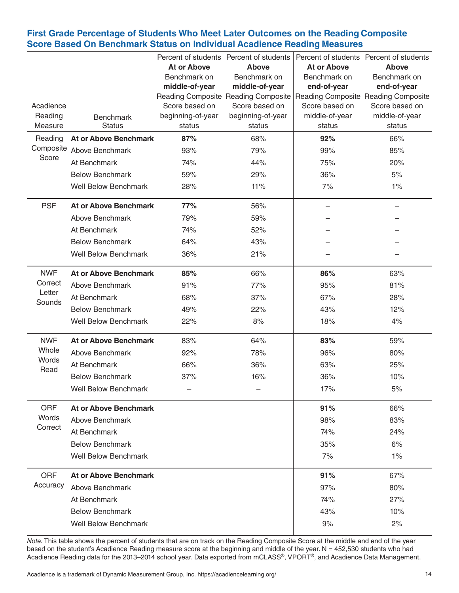## **First Grade Percentage of Students Who Meet Later Outcomes on the Reading Composite Score Based On Benchmark Status on Individual Acadience Reading Measures**

|                  |                              |                    | Percent of students Percent of students                                                     |                    | Percent of students Percent of students |
|------------------|------------------------------|--------------------|---------------------------------------------------------------------------------------------|--------------------|-----------------------------------------|
|                  |                              | <b>At or Above</b> | <b>Above</b>                                                                                | <b>At or Above</b> | Above                                   |
|                  |                              | Benchmark on       | Benchmark on                                                                                | Benchmark on       | Benchmark on                            |
|                  |                              | middle-of-year     | middle-of-year<br>Reading Composite Reading Composite   Reading Composite Reading Composite | end-of-year        | end-of-year                             |
| Acadience        |                              | Score based on     | Score based on                                                                              | Score based on     | Score based on                          |
| Reading          | <b>Benchmark</b>             | beginning-of-year  | beginning-of-year                                                                           | middle-of-year     | middle-of-year                          |
| Measure          | <b>Status</b>                | status             | status                                                                                      | status             | status                                  |
| Reading          | <b>At or Above Benchmark</b> | 87%                | 68%                                                                                         | 92%                | 66%                                     |
| Score            | Composite Above Benchmark    | 93%                | 79%                                                                                         | 99%                | 85%                                     |
|                  | At Benchmark                 | 74%                | 44%                                                                                         | 75%                | 20%                                     |
|                  | <b>Below Benchmark</b>       | 59%                | 29%                                                                                         | 36%                | 5%                                      |
|                  | <b>Well Below Benchmark</b>  | 28%                | 11%                                                                                         | 7%                 | $1\%$                                   |
| <b>PSF</b>       | <b>At or Above Benchmark</b> | 77%                | 56%                                                                                         |                    |                                         |
|                  | Above Benchmark              | 79%                | 59%                                                                                         |                    |                                         |
|                  | At Benchmark                 | 74%                | 52%                                                                                         |                    |                                         |
|                  | <b>Below Benchmark</b>       | 64%                | 43%                                                                                         |                    |                                         |
|                  | <b>Well Below Benchmark</b>  | 36%                | 21%                                                                                         |                    |                                         |
| <b>NWF</b>       | <b>At or Above Benchmark</b> | 85%                | 66%                                                                                         | 86%                | 63%                                     |
| Correct          | Above Benchmark              | 91%                | 77%                                                                                         | 95%                | 81%                                     |
| Letter<br>Sounds | At Benchmark                 | 68%                | 37%                                                                                         | 67%                | 28%                                     |
|                  | <b>Below Benchmark</b>       | 49%                | 22%                                                                                         | 43%                | 12%                                     |
|                  | <b>Well Below Benchmark</b>  | 22%                | 8%                                                                                          | 18%                | 4%                                      |
| <b>NWF</b>       | <b>At or Above Benchmark</b> | 83%                | 64%                                                                                         | 83%                | 59%                                     |
| Whole            | Above Benchmark              | 92%                | 78%                                                                                         | 96%                | 80%                                     |
| Words<br>Read    | At Benchmark                 | 66%                | 36%                                                                                         | 63%                | 25%                                     |
|                  | <b>Below Benchmark</b>       | 37%                | 16%                                                                                         | 36%                | 10%                                     |
|                  | <b>Well Below Benchmark</b>  |                    |                                                                                             | 17%                | 5%                                      |
| ORF              | <b>At or Above Benchmark</b> |                    |                                                                                             | 91%                | 66%                                     |
| Words            | Above Benchmark              |                    |                                                                                             | 98%                | 83%                                     |
| Correct          | At Benchmark                 |                    |                                                                                             | 74%                | 24%                                     |
|                  | <b>Below Benchmark</b>       |                    |                                                                                             | 35%                | 6%                                      |
|                  | <b>Well Below Benchmark</b>  |                    |                                                                                             | 7%                 | $1\%$                                   |
| <b>ORF</b>       | <b>At or Above Benchmark</b> |                    |                                                                                             | 91%                | 67%                                     |
| Accuracy         | Above Benchmark              |                    |                                                                                             | 97%                | 80%                                     |
|                  | At Benchmark                 |                    |                                                                                             | 74%                | 27%                                     |
|                  | <b>Below Benchmark</b>       |                    |                                                                                             | 43%                | 10%                                     |
|                  | <b>Well Below Benchmark</b>  |                    |                                                                                             | 9%                 | 2%                                      |

*Note*. This table shows the percent of students that are on track on the Reading Composite Score at the middle and end of the year based on the student's Acadience Reading measure score at the beginning and middle of the year. N = 452,530 students who had Acadience Reading data for the 2013–2014 school year. Data exported from mCLASS®, VPORT®, and Acadience Data Management.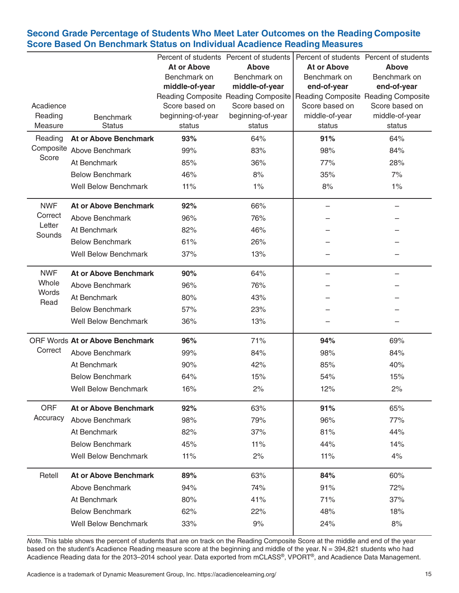## **Second Grade Percentage of Students Who Meet Later Outcomes on the Reading Composite Score Based On Benchmark Status on Individual Acadience Reading Measures**

|                  |                                        |                    | Percent of students Percent of students               |                                                       | Percent of students Percent of students |
|------------------|----------------------------------------|--------------------|-------------------------------------------------------|-------------------------------------------------------|-----------------------------------------|
|                  |                                        | <b>At or Above</b> | <b>Above</b>                                          | <b>At or Above</b>                                    | <b>Above</b>                            |
|                  |                                        | Benchmark on       | Benchmark on                                          | Benchmark on                                          | Benchmark on                            |
|                  |                                        | middle-of-year     | middle-of-year                                        | end-of-year                                           | end-of-year                             |
| Acadience        |                                        | Score based on     | Reading Composite Reading Composite<br>Score based on | Reading Composite Reading Composite<br>Score based on | Score based on                          |
| Reading          |                                        | beginning-of-year  | beginning-of-year                                     | middle-of-year                                        | middle-of-year                          |
| Measure          | <b>Benchmark</b><br><b>Status</b>      | status             | status                                                | status                                                | status                                  |
| Reading          | <b>At or Above Benchmark</b>           | 93%                | 64%                                                   | 91%                                                   | 64%                                     |
|                  | Composite Above Benchmark              | 99%                | 83%                                                   | 98%                                                   | 84%                                     |
| Score            | At Benchmark                           | 85%                | 36%                                                   | 77%                                                   | 28%                                     |
|                  | <b>Below Benchmark</b>                 | 46%                | 8%                                                    | 35%                                                   | 7%                                      |
|                  | <b>Well Below Benchmark</b>            | 11%                | $1\%$                                                 | 8%                                                    | 1%                                      |
| <b>NWF</b>       | <b>At or Above Benchmark</b>           | 92%                | 66%                                                   |                                                       |                                         |
| Correct          | Above Benchmark                        | 96%                | 76%                                                   |                                                       |                                         |
| Letter<br>Sounds | At Benchmark                           | 82%                | 46%                                                   |                                                       |                                         |
|                  | <b>Below Benchmark</b>                 | 61%                | 26%                                                   |                                                       |                                         |
|                  | <b>Well Below Benchmark</b>            | 37%                | 13%                                                   |                                                       |                                         |
| <b>NWF</b>       | <b>At or Above Benchmark</b>           | 90%                | 64%                                                   |                                                       |                                         |
| Whole            | Above Benchmark                        | 96%                | 76%                                                   |                                                       |                                         |
| Words<br>Read    | At Benchmark                           | 80%                | 43%                                                   |                                                       |                                         |
|                  | <b>Below Benchmark</b>                 | 57%                | 23%                                                   |                                                       |                                         |
|                  | <b>Well Below Benchmark</b>            | 36%                | 13%                                                   |                                                       |                                         |
|                  | <b>ORF Words At or Above Benchmark</b> | 96%                | 71%                                                   | 94%                                                   | 69%                                     |
| Correct          | Above Benchmark                        | 99%                | 84%                                                   | 98%                                                   | 84%                                     |
|                  | At Benchmark                           | 90%                | 42%                                                   | 85%                                                   | 40%                                     |
|                  | <b>Below Benchmark</b>                 | 64%                | 15%                                                   | 54%                                                   | 15%                                     |
|                  | Well Below Benchmark                   | 16%                | 2%                                                    | 12%                                                   | 2%                                      |
| ORF              | <b>At or Above Benchmark</b>           | 92%                | 63%                                                   | 91%                                                   | 65%                                     |
| Accuracy         | Above Benchmark                        | 98%                | 79%                                                   | 96%                                                   | 77%                                     |
|                  | At Benchmark                           | 82%                | 37%                                                   | 81%                                                   | 44%                                     |
|                  | <b>Below Benchmark</b>                 | 45%                | 11%                                                   | 44%                                                   | 14%                                     |
|                  | <b>Well Below Benchmark</b>            | 11%                | 2%                                                    | 11%                                                   | 4%                                      |
| Retell           | <b>At or Above Benchmark</b>           | 89%                | 63%                                                   | 84%                                                   | 60%                                     |
|                  | Above Benchmark                        | 94%                | 74%                                                   | 91%                                                   | 72%                                     |
|                  | At Benchmark                           | 80%                | 41%                                                   | 71%                                                   | 37%                                     |
|                  | <b>Below Benchmark</b>                 | 62%                | 22%                                                   | 48%                                                   | 18%                                     |
|                  | <b>Well Below Benchmark</b>            | 33%                | 9%                                                    | 24%                                                   | 8%                                      |

*Note*. This table shows the percent of students that are on track on the Reading Composite Score at the middle and end of the year based on the student's Acadience Reading measure score at the beginning and middle of the year. N = 394,821 students who had Acadience Reading data for the 2013–2014 school year. Data exported from mCLASS®, VPORT®, and Acadience Data Management.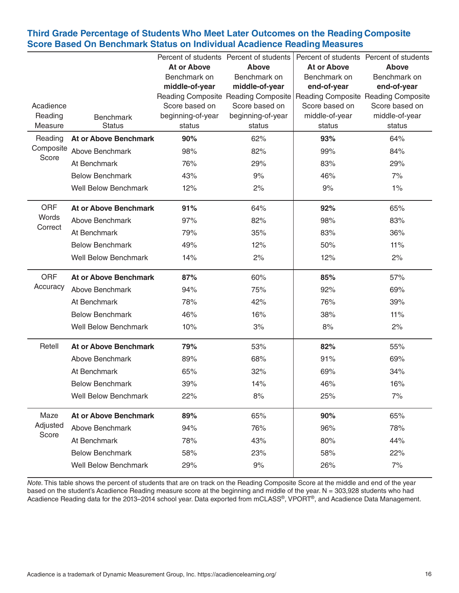## **Third Grade Percentage of Students Who Meet Later Outcomes on the Reading Composite Score Based On Benchmark Status on Individual Acadience Reading Measures**

|                    |                                   | <b>At or Above</b>          | Percent of students Percent of students<br><b>Ahove</b>                 | <b>At or Above</b>       | Percent of students Percent of students<br><b>Above</b> |
|--------------------|-----------------------------------|-----------------------------|-------------------------------------------------------------------------|--------------------------|---------------------------------------------------------|
|                    |                                   | Benchmark on                | Benchmark on                                                            | Benchmark on             | Benchmark on                                            |
|                    |                                   | middle-of-year              | middle-of-year                                                          | end-of-year              | end-of-year                                             |
|                    |                                   |                             | Reading Composite Reading Composite Reading Composite Reading Composite |                          |                                                         |
| Acadience          |                                   | Score based on              | Score based on                                                          | Score based on           | Score based on                                          |
| Reading<br>Measure | <b>Benchmark</b><br><b>Status</b> | beginning-of-year<br>status | beginning-of-year<br>status                                             | middle-of-year<br>status | middle-of-year<br>status                                |
| Reading            | <b>At or Above Benchmark</b>      | 90%                         | 62%                                                                     | 93%                      | 64%                                                     |
| Composite          | Above Benchmark                   | 98%                         | 82%                                                                     | 99%                      | 84%                                                     |
| Score              | At Benchmark                      | 76%                         | 29%                                                                     | 83%                      | 29%                                                     |
|                    | <b>Below Benchmark</b>            | 43%                         | 9%                                                                      | 46%                      | 7%                                                      |
|                    | <b>Well Below Benchmark</b>       | 12%                         | 2%                                                                      | 9%                       | $1\%$                                                   |
|                    |                                   |                             |                                                                         |                          |                                                         |
| <b>ORF</b>         | <b>At or Above Benchmark</b>      | 91%                         | 64%                                                                     | 92%                      | 65%                                                     |
| Words<br>Correct   | Above Benchmark                   | 97%                         | 82%                                                                     | 98%                      | 83%                                                     |
|                    | At Benchmark                      | 79%                         | 35%                                                                     | 83%                      | 36%                                                     |
|                    | <b>Below Benchmark</b>            | 49%                         | 12%                                                                     | 50%                      | 11%                                                     |
|                    | <b>Well Below Benchmark</b>       | 14%                         | 2%                                                                      | 12%                      | 2%                                                      |
| <b>ORF</b>         | <b>At or Above Benchmark</b>      | 87%                         | 60%                                                                     | 85%                      | 57%                                                     |
| Accuracy           | Above Benchmark                   | 94%                         | 75%                                                                     | 92%                      | 69%                                                     |
|                    | At Benchmark                      | 78%                         | 42%                                                                     | 76%                      | 39%                                                     |
|                    | <b>Below Benchmark</b>            | 46%                         | 16%                                                                     | 38%                      | 11%                                                     |
|                    | <b>Well Below Benchmark</b>       | 10%                         | 3%                                                                      | 8%                       | 2%                                                      |
| Retell             | <b>At or Above Benchmark</b>      | 79%                         | 53%                                                                     | 82%                      | 55%                                                     |
|                    | Above Benchmark                   | 89%                         | 68%                                                                     | 91%                      | 69%                                                     |
|                    | At Benchmark                      | 65%                         | 32%                                                                     | 69%                      | 34%                                                     |
|                    | <b>Below Benchmark</b>            | 39%                         | 14%                                                                     | 46%                      | 16%                                                     |
|                    | <b>Well Below Benchmark</b>       | 22%                         | 8%                                                                      | 25%                      | 7%                                                      |
| Maze               | <b>At or Above Benchmark</b>      | 89%                         | 65%                                                                     | 90%                      | 65%                                                     |
| Adjusted           | Above Benchmark                   | 94%                         | 76%                                                                     | 96%                      | 78%                                                     |
| Score              | At Benchmark                      | 78%                         | 43%                                                                     | 80%                      | 44%                                                     |
|                    | <b>Below Benchmark</b>            | 58%                         | 23%                                                                     | 58%                      | 22%                                                     |
|                    | <b>Well Below Benchmark</b>       | 29%                         | 9%                                                                      | 26%                      | 7%                                                      |
|                    |                                   |                             |                                                                         |                          |                                                         |

*Note.* This table shows the percent of students that are on track on the Reading Composite Score at the middle and end of the year based on the student's Acadience Reading measure score at the beginning and middle of the year. N = 303,928 students who had Acadience Reading data for the 2013–2014 school year. Data exported from mCLASS®, VPORT®, and Acadience Data Management.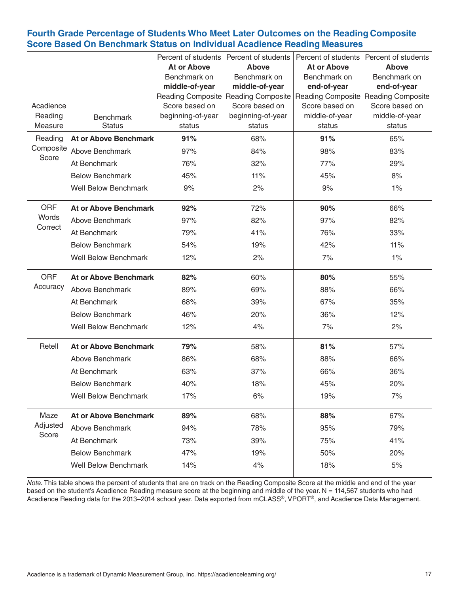## **Fourth Grade Percentage of Students Who Meet Later Outcomes on the Reading Composite Score Based On Benchmark Status on Individual Acadience Reading Measures**

|                      |                              |                                    | Percent of students Percent of students |                                     | Percent of students Percent of students |
|----------------------|------------------------------|------------------------------------|-----------------------------------------|-------------------------------------|-----------------------------------------|
|                      |                              | <b>At or Above</b><br>Benchmark on | <b>Above</b><br>Benchmark on            | <b>At or Above</b><br>Benchmark on  | <b>Above</b><br>Benchmark on            |
|                      |                              | middle-of-year                     | middle-of-year                          | end-of-year                         | end-of-year                             |
|                      |                              |                                    | Reading Composite Reading Composite     | Reading Composite Reading Composite |                                         |
| Acadience            |                              | Score based on                     | Score based on                          | Score based on                      | Score based on                          |
| Reading              | <b>Benchmark</b>             | beginning-of-year                  | beginning-of-year                       | middle-of-year                      | middle-of-year                          |
| Measure              | <b>Status</b>                | status                             | status                                  | status                              | status                                  |
| Reading<br>Composite | <b>At or Above Benchmark</b> | 91%                                | 68%                                     | 91%                                 | 65%                                     |
| Score                | Above Benchmark              | 97%                                | 84%                                     | 98%                                 | 83%                                     |
|                      | At Benchmark                 | 76%                                | 32%                                     | 77%                                 | 29%                                     |
|                      | <b>Below Benchmark</b>       | 45%                                | 11%                                     | 45%                                 | 8%                                      |
|                      | <b>Well Below Benchmark</b>  | 9%                                 | 2%                                      | 9%                                  | $1\%$                                   |
| <b>ORF</b>           | <b>At or Above Benchmark</b> | 92%                                | 72%                                     | 90%                                 | 66%                                     |
| Words<br>Correct     | Above Benchmark              | 97%                                | 82%                                     | 97%                                 | 82%                                     |
|                      | At Benchmark                 | 79%                                | 41%                                     | 76%                                 | 33%                                     |
|                      | <b>Below Benchmark</b>       | 54%                                | 19%                                     | 42%                                 | 11%                                     |
|                      | <b>Well Below Benchmark</b>  | 12%                                | 2%                                      | 7%                                  | $1\%$                                   |
| <b>ORF</b>           | <b>At or Above Benchmark</b> | 82%                                | 60%                                     | 80%                                 | 55%                                     |
| Accuracy             | Above Benchmark              | 89%                                | 69%                                     | 88%                                 | 66%                                     |
|                      | At Benchmark                 | 68%                                | 39%                                     | 67%                                 | 35%                                     |
|                      | <b>Below Benchmark</b>       | 46%                                | 20%                                     | 36%                                 | 12%                                     |
|                      | <b>Well Below Benchmark</b>  | 12%                                | 4%                                      | 7%                                  | 2%                                      |
| Retell               | <b>At or Above Benchmark</b> | 79%                                | 58%                                     | 81%                                 | 57%                                     |
|                      | Above Benchmark              | 86%                                | 68%                                     | 88%                                 | 66%                                     |
|                      | At Benchmark                 | 63%                                | 37%                                     | 66%                                 | 36%                                     |
|                      | <b>Below Benchmark</b>       | 40%                                | 18%                                     | 45%                                 | 20%                                     |
|                      | <b>Well Below Benchmark</b>  | 17%                                | 6%                                      | 19%                                 | 7%                                      |
| Maze                 | <b>At or Above Benchmark</b> | 89%                                | 68%                                     | 88%                                 | 67%                                     |
| Adjusted             | Above Benchmark              | 94%                                | 78%                                     | 95%                                 | 79%                                     |
| Score                | At Benchmark                 | 73%                                | 39%                                     | 75%                                 | 41%                                     |
|                      | <b>Below Benchmark</b>       | 47%                                | 19%                                     | 50%                                 | 20%                                     |
|                      | <b>Well Below Benchmark</b>  | 14%                                | 4%                                      | 18%                                 | $5%$                                    |
|                      |                              |                                    |                                         |                                     |                                         |

*Note*. This table shows the percent of students that are on track on the Reading Composite Score at the middle and end of the year based on the student's Acadience Reading measure score at the beginning and middle of the year. N = 114,567 students who had Acadience Reading data for the 2013–2014 school year. Data exported from mCLASS®, VPORT®, and Acadience Data Management.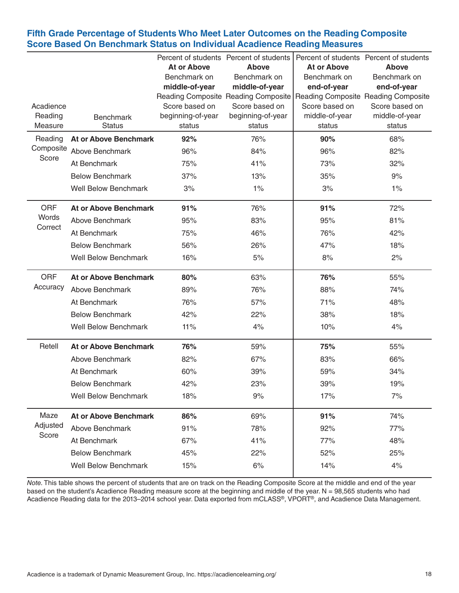## **Fifth Grade Percentage of Students Who Meet Later Outcomes on the Reading Composite Score Based On Benchmark Status on Individual Acadience Reading Measures**

|                      |                              |                             | Percent of students Percent of students |                             | Percent of students Percent of students |
|----------------------|------------------------------|-----------------------------|-----------------------------------------|-----------------------------|-----------------------------------------|
|                      |                              | At or Above<br>Benchmark on | Above<br>Benchmark on                   | At or Above<br>Benchmark on | Ahove<br>Benchmark on                   |
|                      |                              | middle-of-year              | middle-of-year                          | end-of-year                 | end-of-year                             |
|                      |                              |                             | Reading Composite Reading Composite     |                             | Reading Composite Reading Composite     |
| Acadience            |                              | Score based on              | Score based on                          | Score based on              | Score based on                          |
| Reading              | <b>Benchmark</b>             | beginning-of-year           | beginning-of-year                       | middle-of-year              | middle-of-year                          |
| Measure              | <b>Status</b>                | status                      | status                                  | status                      | status                                  |
| Reading<br>Composite | <b>At or Above Benchmark</b> | 92%                         | 76%                                     | 90%                         | 68%                                     |
| Score                | Above Benchmark              | 96%                         | 84%                                     | 96%                         | 82%                                     |
|                      | At Benchmark                 | 75%                         | 41%                                     | 73%                         | 32%                                     |
|                      | <b>Below Benchmark</b>       | 37%                         | 13%                                     | 35%                         | 9%                                      |
|                      | <b>Well Below Benchmark</b>  | 3%                          | $1\%$                                   | 3%                          | $1\%$                                   |
| <b>ORF</b>           | <b>At or Above Benchmark</b> | 91%                         | 76%                                     | 91%                         | 72%                                     |
| Words                | <b>Above Benchmark</b>       | 95%                         | 83%                                     | 95%                         | 81%                                     |
| Correct              | At Benchmark                 | 75%                         | 46%                                     | 76%                         | 42%                                     |
|                      | <b>Below Benchmark</b>       | 56%                         | 26%                                     | 47%                         | 18%                                     |
|                      | <b>Well Below Benchmark</b>  | 16%                         | 5%                                      | 8%                          | 2%                                      |
| <b>ORF</b>           | <b>At or Above Benchmark</b> | 80%                         | 63%                                     | 76%                         | 55%                                     |
| Accuracy             | Above Benchmark              | 89%                         | 76%                                     | 88%                         | 74%                                     |
|                      | At Benchmark                 | 76%                         | 57%                                     | 71%                         | 48%                                     |
|                      | <b>Below Benchmark</b>       | 42%                         | 22%                                     | 38%                         | 18%                                     |
|                      | <b>Well Below Benchmark</b>  | 11%                         | 4%                                      | 10%                         | 4%                                      |
| Retell               | <b>At or Above Benchmark</b> | 76%                         | 59%                                     | 75%                         | 55%                                     |
|                      | Above Benchmark              | 82%                         | 67%                                     | 83%                         | 66%                                     |
|                      | At Benchmark                 | 60%                         | 39%                                     | 59%                         | 34%                                     |
|                      | <b>Below Benchmark</b>       | 42%                         | 23%                                     | 39%                         | 19%                                     |
|                      | <b>Well Below Benchmark</b>  | 18%                         | 9%                                      | 17%                         | 7%                                      |
| Maze                 | <b>At or Above Benchmark</b> | 86%                         | 69%                                     | 91%                         | 74%                                     |
| Adjusted             | Above Benchmark              | 91%                         | 78%                                     | 92%                         | 77%                                     |
| Score                | At Benchmark                 | 67%                         | 41%                                     | 77%                         | 48%                                     |
|                      | <b>Below Benchmark</b>       | 45%                         | 22%                                     | 52%                         | 25%                                     |
|                      | <b>Well Below Benchmark</b>  | 15%                         | 6%                                      | 14%                         | 4%                                      |
|                      |                              |                             |                                         |                             |                                         |

*Note*. This table shows the percent of students that are on track on the Reading Composite Score at the middle and end of the year based on the student's Acadience Reading measure score at the beginning and middle of the year. N = 98,565 students who had Acadience Reading data for the 2013–2014 school year. Data exported from mCLASS®, VPORT®, and Acadience Data Management.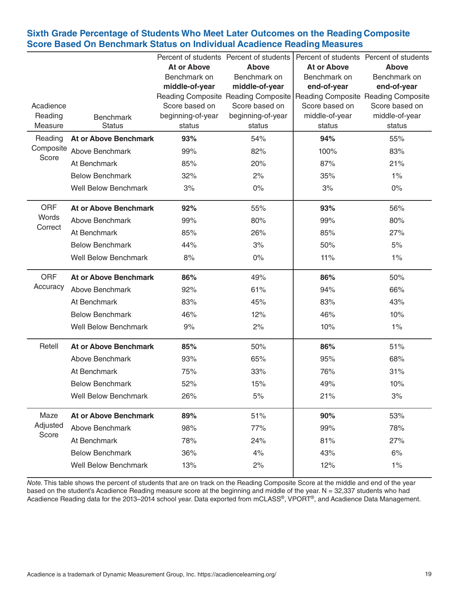## **Sixth Grade Percentage of Students Who Meet Later Outcomes on the Reading Composite Score Based On Benchmark Status on Individual Acadience Reading Measures**

|                      |                                   | <b>At or Above</b> | Percent of students Percent of students<br><b>Ahove</b> | <b>At or Above</b> | Percent of students Percent of students<br><b>Above</b> |
|----------------------|-----------------------------------|--------------------|---------------------------------------------------------|--------------------|---------------------------------------------------------|
|                      |                                   | Benchmark on       | Benchmark on                                            | Benchmark on       | Benchmark on                                            |
|                      |                                   | middle-of-year     | middle-of-year                                          | end-of-year        | end-of-year                                             |
|                      |                                   |                    | Reading Composite Reading Composite                     |                    | Reading Composite Reading Composite                     |
| Acadience            |                                   | Score based on     | Score based on                                          | Score based on     | Score based on                                          |
| Reading<br>Measure   | <b>Benchmark</b><br><b>Status</b> | beginning-of-year  | beginning-of-year                                       | middle-of-year     | middle-of-year                                          |
|                      |                                   | status             | status                                                  | status             | status                                                  |
| Reading<br>Composite | <b>At or Above Benchmark</b>      | 93%                | 54%                                                     | 94%                | 55%                                                     |
| Score                | Above Benchmark                   | 99%                | 82%                                                     | 100%               | 83%                                                     |
|                      | At Benchmark                      | 85%                | 20%                                                     | 87%                | 21%                                                     |
|                      | <b>Below Benchmark</b>            | 32%                | 2%                                                      | 35%                | $1\%$                                                   |
|                      | <b>Well Below Benchmark</b>       | 3%                 | $0\%$                                                   | 3%                 | $0\%$                                                   |
| <b>ORF</b>           | <b>At or Above Benchmark</b>      | 92%                | 55%                                                     | 93%                | 56%                                                     |
| Words                | Above Benchmark                   | 99%                | 80%                                                     | 99%                | 80%                                                     |
| Correct              | At Benchmark                      | 85%                | 26%                                                     | 85%                | 27%                                                     |
|                      | <b>Below Benchmark</b>            | 44%                | 3%                                                      | 50%                | 5%                                                      |
|                      | <b>Well Below Benchmark</b>       | 8%                 | $0\%$                                                   | 11%                | $1\%$                                                   |
| <b>ORF</b>           | <b>At or Above Benchmark</b>      | 86%                | 49%                                                     | 86%                | 50%                                                     |
| Accuracy             | Above Benchmark                   | 92%                | 61%                                                     | 94%                | 66%                                                     |
|                      | At Benchmark                      | 83%                | 45%                                                     | 83%                | 43%                                                     |
|                      | <b>Below Benchmark</b>            | 46%                | 12%                                                     | 46%                | 10%                                                     |
|                      | <b>Well Below Benchmark</b>       | 9%                 | 2%                                                      | 10%                | $1\%$                                                   |
| Retell               | <b>At or Above Benchmark</b>      | 85%                | 50%                                                     | 86%                | 51%                                                     |
|                      | Above Benchmark                   | 93%                | 65%                                                     | 95%                | 68%                                                     |
|                      | At Benchmark                      | 75%                | 33%                                                     | 76%                | 31%                                                     |
|                      | <b>Below Benchmark</b>            | 52%                | 15%                                                     | 49%                | 10%                                                     |
|                      | <b>Well Below Benchmark</b>       | 26%                | 5%                                                      | 21%                | 3%                                                      |
| Maze                 | <b>At or Above Benchmark</b>      | 89%                | 51%                                                     | 90%                | 53%                                                     |
| Adjusted             | Above Benchmark                   | 98%                | 77%                                                     | 99%                | 78%                                                     |
| Score                | At Benchmark                      | 78%                | 24%                                                     | 81%                | 27%                                                     |
|                      | <b>Below Benchmark</b>            | 36%                | 4%                                                      | 43%                | 6%                                                      |
|                      | <b>Well Below Benchmark</b>       | 13%                | 2%                                                      | 12%                | 1%                                                      |
|                      |                                   |                    |                                                         |                    |                                                         |

*Note*. This table shows the percent of students that are on track on the Reading Composite Score at the middle and end of the year based on the student's Acadience Reading measure score at the beginning and middle of the year. N = 32,337 students who had Acadience Reading data for the 2013–2014 school year. Data exported from mCLASS®, VPORT®, and Acadience Data Management.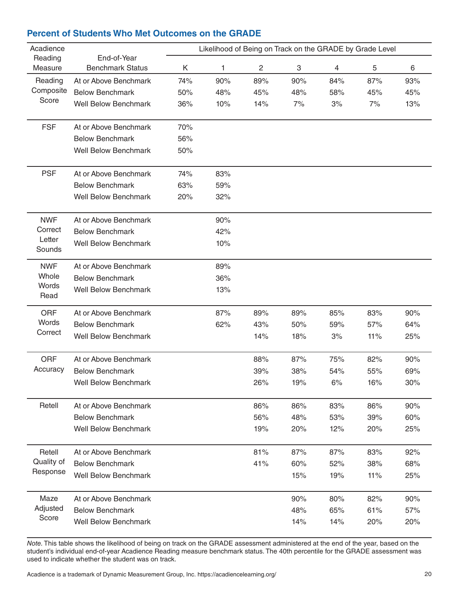| <b>Benchmark Status</b><br>1<br>$\overline{c}$<br>$\ensuremath{\mathsf{3}}$<br>$\overline{4}$<br>5<br>Measure<br>Κ<br>6<br>Reading<br>At or Above Benchmark<br>74%<br>90%<br>89%<br>90%<br>84%<br>87%<br>93%<br>Composite<br><b>Below Benchmark</b><br>48%<br>45%<br>50%<br>45%<br>48%<br>58%<br>45%<br>Score<br><b>Well Below Benchmark</b><br>10%<br>14%<br>36%<br>7%<br>3%<br>7%<br>13%<br><b>FSF</b><br>70%<br>At or Above Benchmark<br><b>Below Benchmark</b><br>56%<br><b>Well Below Benchmark</b><br>50%<br><b>PSF</b><br>At or Above Benchmark<br>74%<br>83%<br><b>Below Benchmark</b><br>63%<br>59%<br><b>Well Below Benchmark</b><br>20%<br>32%<br><b>NWF</b><br>At or Above Benchmark<br>90%<br>Correct<br><b>Below Benchmark</b><br>42%<br>Letter<br><b>Well Below Benchmark</b><br>10%<br>Sounds<br><b>NWF</b><br>89%<br>At or Above Benchmark<br>Whole<br><b>Below Benchmark</b><br>36%<br>Words<br><b>Well Below Benchmark</b><br>13%<br>Read<br><b>ORF</b><br>At or Above Benchmark<br>87%<br>89%<br>89%<br>85%<br>83%<br>90%<br>Words<br>62%<br><b>Below Benchmark</b><br>43%<br>50%<br>59%<br>57%<br>64%<br>Correct<br><b>Well Below Benchmark</b><br>14%<br>18%<br>3%<br>11%<br>25%<br>ORF<br>At or Above Benchmark<br>88%<br>87%<br>82%<br>75%<br>90%<br>Accuracy<br>38%<br>55%<br><b>Below Benchmark</b><br>39%<br>54%<br>69%<br><b>Well Below Benchmark</b><br>26%<br>19%<br>6%<br>16%<br>30%<br>Retell<br>At or Above Benchmark<br>86%<br>86%<br>83%<br>86%<br>90%<br><b>Below Benchmark</b><br>56%<br>48%<br>53%<br>39%<br>60%<br><b>Well Below Benchmark</b><br>19%<br>20%<br>12%<br>20%<br>25%<br>81%<br>Retell<br>At or Above Benchmark<br>87%<br>87%<br>83%<br>92%<br>Quality of<br>41%<br><b>Below Benchmark</b><br>60%<br>52%<br>38%<br>68%<br>Response<br><b>Well Below Benchmark</b><br>15%<br>19%<br>11%<br>25%<br>Maze<br>At or Above Benchmark<br>82%<br>90%<br>80%<br>90%<br>Adjusted<br>48%<br>61%<br><b>Below Benchmark</b><br>65%<br>57%<br>Score<br><b>Well Below Benchmark</b><br>14%<br>14%<br>20%<br>20% | Acadience |             |  | Likelihood of Being on Track on the GRADE by Grade Level |  |  |
|-----------------------------------------------------------------------------------------------------------------------------------------------------------------------------------------------------------------------------------------------------------------------------------------------------------------------------------------------------------------------------------------------------------------------------------------------------------------------------------------------------------------------------------------------------------------------------------------------------------------------------------------------------------------------------------------------------------------------------------------------------------------------------------------------------------------------------------------------------------------------------------------------------------------------------------------------------------------------------------------------------------------------------------------------------------------------------------------------------------------------------------------------------------------------------------------------------------------------------------------------------------------------------------------------------------------------------------------------------------------------------------------------------------------------------------------------------------------------------------------------------------------------------------------------------------------------------------------------------------------------------------------------------------------------------------------------------------------------------------------------------------------------------------------------------------------------------------------------------------------------------------------------------------------------------------------------------------------------------------------------------------------------------------------------------|-----------|-------------|--|----------------------------------------------------------|--|--|
|                                                                                                                                                                                                                                                                                                                                                                                                                                                                                                                                                                                                                                                                                                                                                                                                                                                                                                                                                                                                                                                                                                                                                                                                                                                                                                                                                                                                                                                                                                                                                                                                                                                                                                                                                                                                                                                                                                                                                                                                                                                     | Reading   | End-of-Year |  |                                                          |  |  |
|                                                                                                                                                                                                                                                                                                                                                                                                                                                                                                                                                                                                                                                                                                                                                                                                                                                                                                                                                                                                                                                                                                                                                                                                                                                                                                                                                                                                                                                                                                                                                                                                                                                                                                                                                                                                                                                                                                                                                                                                                                                     |           |             |  |                                                          |  |  |
|                                                                                                                                                                                                                                                                                                                                                                                                                                                                                                                                                                                                                                                                                                                                                                                                                                                                                                                                                                                                                                                                                                                                                                                                                                                                                                                                                                                                                                                                                                                                                                                                                                                                                                                                                                                                                                                                                                                                                                                                                                                     |           |             |  |                                                          |  |  |
|                                                                                                                                                                                                                                                                                                                                                                                                                                                                                                                                                                                                                                                                                                                                                                                                                                                                                                                                                                                                                                                                                                                                                                                                                                                                                                                                                                                                                                                                                                                                                                                                                                                                                                                                                                                                                                                                                                                                                                                                                                                     |           |             |  |                                                          |  |  |
|                                                                                                                                                                                                                                                                                                                                                                                                                                                                                                                                                                                                                                                                                                                                                                                                                                                                                                                                                                                                                                                                                                                                                                                                                                                                                                                                                                                                                                                                                                                                                                                                                                                                                                                                                                                                                                                                                                                                                                                                                                                     |           |             |  |                                                          |  |  |
|                                                                                                                                                                                                                                                                                                                                                                                                                                                                                                                                                                                                                                                                                                                                                                                                                                                                                                                                                                                                                                                                                                                                                                                                                                                                                                                                                                                                                                                                                                                                                                                                                                                                                                                                                                                                                                                                                                                                                                                                                                                     |           |             |  |                                                          |  |  |
|                                                                                                                                                                                                                                                                                                                                                                                                                                                                                                                                                                                                                                                                                                                                                                                                                                                                                                                                                                                                                                                                                                                                                                                                                                                                                                                                                                                                                                                                                                                                                                                                                                                                                                                                                                                                                                                                                                                                                                                                                                                     |           |             |  |                                                          |  |  |
|                                                                                                                                                                                                                                                                                                                                                                                                                                                                                                                                                                                                                                                                                                                                                                                                                                                                                                                                                                                                                                                                                                                                                                                                                                                                                                                                                                                                                                                                                                                                                                                                                                                                                                                                                                                                                                                                                                                                                                                                                                                     |           |             |  |                                                          |  |  |
|                                                                                                                                                                                                                                                                                                                                                                                                                                                                                                                                                                                                                                                                                                                                                                                                                                                                                                                                                                                                                                                                                                                                                                                                                                                                                                                                                                                                                                                                                                                                                                                                                                                                                                                                                                                                                                                                                                                                                                                                                                                     |           |             |  |                                                          |  |  |
|                                                                                                                                                                                                                                                                                                                                                                                                                                                                                                                                                                                                                                                                                                                                                                                                                                                                                                                                                                                                                                                                                                                                                                                                                                                                                                                                                                                                                                                                                                                                                                                                                                                                                                                                                                                                                                                                                                                                                                                                                                                     |           |             |  |                                                          |  |  |
|                                                                                                                                                                                                                                                                                                                                                                                                                                                                                                                                                                                                                                                                                                                                                                                                                                                                                                                                                                                                                                                                                                                                                                                                                                                                                                                                                                                                                                                                                                                                                                                                                                                                                                                                                                                                                                                                                                                                                                                                                                                     |           |             |  |                                                          |  |  |
|                                                                                                                                                                                                                                                                                                                                                                                                                                                                                                                                                                                                                                                                                                                                                                                                                                                                                                                                                                                                                                                                                                                                                                                                                                                                                                                                                                                                                                                                                                                                                                                                                                                                                                                                                                                                                                                                                                                                                                                                                                                     |           |             |  |                                                          |  |  |
|                                                                                                                                                                                                                                                                                                                                                                                                                                                                                                                                                                                                                                                                                                                                                                                                                                                                                                                                                                                                                                                                                                                                                                                                                                                                                                                                                                                                                                                                                                                                                                                                                                                                                                                                                                                                                                                                                                                                                                                                                                                     |           |             |  |                                                          |  |  |
|                                                                                                                                                                                                                                                                                                                                                                                                                                                                                                                                                                                                                                                                                                                                                                                                                                                                                                                                                                                                                                                                                                                                                                                                                                                                                                                                                                                                                                                                                                                                                                                                                                                                                                                                                                                                                                                                                                                                                                                                                                                     |           |             |  |                                                          |  |  |
|                                                                                                                                                                                                                                                                                                                                                                                                                                                                                                                                                                                                                                                                                                                                                                                                                                                                                                                                                                                                                                                                                                                                                                                                                                                                                                                                                                                                                                                                                                                                                                                                                                                                                                                                                                                                                                                                                                                                                                                                                                                     |           |             |  |                                                          |  |  |
|                                                                                                                                                                                                                                                                                                                                                                                                                                                                                                                                                                                                                                                                                                                                                                                                                                                                                                                                                                                                                                                                                                                                                                                                                                                                                                                                                                                                                                                                                                                                                                                                                                                                                                                                                                                                                                                                                                                                                                                                                                                     |           |             |  |                                                          |  |  |
|                                                                                                                                                                                                                                                                                                                                                                                                                                                                                                                                                                                                                                                                                                                                                                                                                                                                                                                                                                                                                                                                                                                                                                                                                                                                                                                                                                                                                                                                                                                                                                                                                                                                                                                                                                                                                                                                                                                                                                                                                                                     |           |             |  |                                                          |  |  |
|                                                                                                                                                                                                                                                                                                                                                                                                                                                                                                                                                                                                                                                                                                                                                                                                                                                                                                                                                                                                                                                                                                                                                                                                                                                                                                                                                                                                                                                                                                                                                                                                                                                                                                                                                                                                                                                                                                                                                                                                                                                     |           |             |  |                                                          |  |  |
|                                                                                                                                                                                                                                                                                                                                                                                                                                                                                                                                                                                                                                                                                                                                                                                                                                                                                                                                                                                                                                                                                                                                                                                                                                                                                                                                                                                                                                                                                                                                                                                                                                                                                                                                                                                                                                                                                                                                                                                                                                                     |           |             |  |                                                          |  |  |
|                                                                                                                                                                                                                                                                                                                                                                                                                                                                                                                                                                                                                                                                                                                                                                                                                                                                                                                                                                                                                                                                                                                                                                                                                                                                                                                                                                                                                                                                                                                                                                                                                                                                                                                                                                                                                                                                                                                                                                                                                                                     |           |             |  |                                                          |  |  |
|                                                                                                                                                                                                                                                                                                                                                                                                                                                                                                                                                                                                                                                                                                                                                                                                                                                                                                                                                                                                                                                                                                                                                                                                                                                                                                                                                                                                                                                                                                                                                                                                                                                                                                                                                                                                                                                                                                                                                                                                                                                     |           |             |  |                                                          |  |  |
|                                                                                                                                                                                                                                                                                                                                                                                                                                                                                                                                                                                                                                                                                                                                                                                                                                                                                                                                                                                                                                                                                                                                                                                                                                                                                                                                                                                                                                                                                                                                                                                                                                                                                                                                                                                                                                                                                                                                                                                                                                                     |           |             |  |                                                          |  |  |
|                                                                                                                                                                                                                                                                                                                                                                                                                                                                                                                                                                                                                                                                                                                                                                                                                                                                                                                                                                                                                                                                                                                                                                                                                                                                                                                                                                                                                                                                                                                                                                                                                                                                                                                                                                                                                                                                                                                                                                                                                                                     |           |             |  |                                                          |  |  |
|                                                                                                                                                                                                                                                                                                                                                                                                                                                                                                                                                                                                                                                                                                                                                                                                                                                                                                                                                                                                                                                                                                                                                                                                                                                                                                                                                                                                                                                                                                                                                                                                                                                                                                                                                                                                                                                                                                                                                                                                                                                     |           |             |  |                                                          |  |  |
|                                                                                                                                                                                                                                                                                                                                                                                                                                                                                                                                                                                                                                                                                                                                                                                                                                                                                                                                                                                                                                                                                                                                                                                                                                                                                                                                                                                                                                                                                                                                                                                                                                                                                                                                                                                                                                                                                                                                                                                                                                                     |           |             |  |                                                          |  |  |
|                                                                                                                                                                                                                                                                                                                                                                                                                                                                                                                                                                                                                                                                                                                                                                                                                                                                                                                                                                                                                                                                                                                                                                                                                                                                                                                                                                                                                                                                                                                                                                                                                                                                                                                                                                                                                                                                                                                                                                                                                                                     |           |             |  |                                                          |  |  |
|                                                                                                                                                                                                                                                                                                                                                                                                                                                                                                                                                                                                                                                                                                                                                                                                                                                                                                                                                                                                                                                                                                                                                                                                                                                                                                                                                                                                                                                                                                                                                                                                                                                                                                                                                                                                                                                                                                                                                                                                                                                     |           |             |  |                                                          |  |  |
|                                                                                                                                                                                                                                                                                                                                                                                                                                                                                                                                                                                                                                                                                                                                                                                                                                                                                                                                                                                                                                                                                                                                                                                                                                                                                                                                                                                                                                                                                                                                                                                                                                                                                                                                                                                                                                                                                                                                                                                                                                                     |           |             |  |                                                          |  |  |
|                                                                                                                                                                                                                                                                                                                                                                                                                                                                                                                                                                                                                                                                                                                                                                                                                                                                                                                                                                                                                                                                                                                                                                                                                                                                                                                                                                                                                                                                                                                                                                                                                                                                                                                                                                                                                                                                                                                                                                                                                                                     |           |             |  |                                                          |  |  |
|                                                                                                                                                                                                                                                                                                                                                                                                                                                                                                                                                                                                                                                                                                                                                                                                                                                                                                                                                                                                                                                                                                                                                                                                                                                                                                                                                                                                                                                                                                                                                                                                                                                                                                                                                                                                                                                                                                                                                                                                                                                     |           |             |  |                                                          |  |  |
|                                                                                                                                                                                                                                                                                                                                                                                                                                                                                                                                                                                                                                                                                                                                                                                                                                                                                                                                                                                                                                                                                                                                                                                                                                                                                                                                                                                                                                                                                                                                                                                                                                                                                                                                                                                                                                                                                                                                                                                                                                                     |           |             |  |                                                          |  |  |
|                                                                                                                                                                                                                                                                                                                                                                                                                                                                                                                                                                                                                                                                                                                                                                                                                                                                                                                                                                                                                                                                                                                                                                                                                                                                                                                                                                                                                                                                                                                                                                                                                                                                                                                                                                                                                                                                                                                                                                                                                                                     |           |             |  |                                                          |  |  |
|                                                                                                                                                                                                                                                                                                                                                                                                                                                                                                                                                                                                                                                                                                                                                                                                                                                                                                                                                                                                                                                                                                                                                                                                                                                                                                                                                                                                                                                                                                                                                                                                                                                                                                                                                                                                                                                                                                                                                                                                                                                     |           |             |  |                                                          |  |  |
|                                                                                                                                                                                                                                                                                                                                                                                                                                                                                                                                                                                                                                                                                                                                                                                                                                                                                                                                                                                                                                                                                                                                                                                                                                                                                                                                                                                                                                                                                                                                                                                                                                                                                                                                                                                                                                                                                                                                                                                                                                                     |           |             |  |                                                          |  |  |
|                                                                                                                                                                                                                                                                                                                                                                                                                                                                                                                                                                                                                                                                                                                                                                                                                                                                                                                                                                                                                                                                                                                                                                                                                                                                                                                                                                                                                                                                                                                                                                                                                                                                                                                                                                                                                                                                                                                                                                                                                                                     |           |             |  |                                                          |  |  |
|                                                                                                                                                                                                                                                                                                                                                                                                                                                                                                                                                                                                                                                                                                                                                                                                                                                                                                                                                                                                                                                                                                                                                                                                                                                                                                                                                                                                                                                                                                                                                                                                                                                                                                                                                                                                                                                                                                                                                                                                                                                     |           |             |  |                                                          |  |  |

#### **Percent of Students Who Met Outcomes on the GRADE**

*Note.* This table shows the likelihood of being on track on the GRADE assessment administered at the end of the year, based on the student's individual end-of-year Acadience Reading measure benchmark status. The 40th percentile for the GRADE assessment was used to indicate whether the student was on track.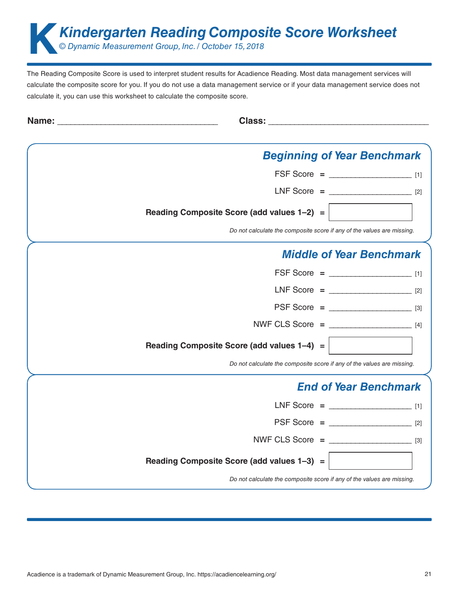**Kindergarten Reading Composite Score Worksheet**<br> *© Dynamic Measurement Group, Inc. / October 15, 2018 © Dynamic Measurement Group, Inc. / October 15, 2018*

| Name: |                                                                        |  |
|-------|------------------------------------------------------------------------|--|
|       | <b>Beginning of Year Benchmark</b>                                     |  |
|       | $FSF Score =$ [1]                                                      |  |
|       | $LNF Score =$ [2]                                                      |  |
|       | Reading Composite Score (add values 1-2) =                             |  |
|       | Do not calculate the composite score if any of the values are missing. |  |
|       | <b>Middle of Year Benchmark</b>                                        |  |
|       | $FSF Score =$ [1]                                                      |  |
|       | $LNF Score =$ [2]                                                      |  |
|       | $PSF Score =$ [3]                                                      |  |
|       | NWF CLS Score = $\frac{1}{4}$                                          |  |
|       | Reading Composite Score (add values 1-4) =                             |  |
|       | Do not calculate the composite score if any of the values are missing. |  |
|       | <b>End of Year Benchmark</b>                                           |  |
|       | LNF Score = $\frac{1}{1}$                                              |  |
|       | $PSF Score =$ [2]                                                      |  |
|       | NWF CLS Score = $\frac{1}{3}$                                          |  |
|       | Reading Composite Score (add values 1-3) =                             |  |
|       | Do not calculate the composite score if any of the values are missing. |  |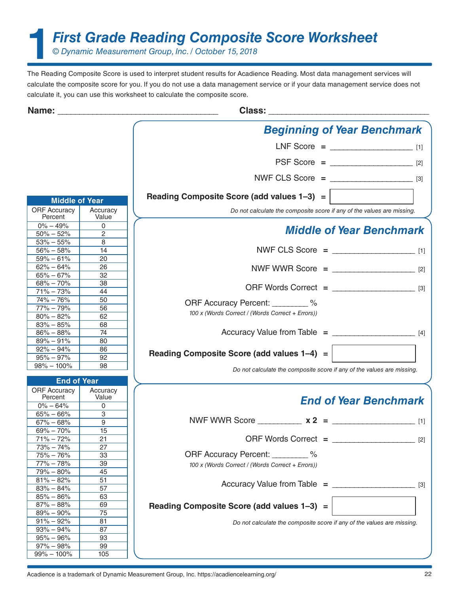**1***First Grade Reading Composite Score Worksheet*

*© Dynamic Measurement Group, Inc. / October 15, 2018*

|                                |                   | <b>Beginning of Year Benchmark</b>                                     |       |
|--------------------------------|-------------------|------------------------------------------------------------------------|-------|
|                                |                   | $LNF Score =$ [1]                                                      |       |
|                                |                   | $PSF Score =$ [2]                                                      |       |
|                                |                   | NWF CLS Score = $\frac{1}{3}$                                          |       |
|                                |                   | Reading Composite Score (add values $1-3$ ) =                          |       |
| <b>Middle of Year</b>          |                   |                                                                        |       |
| <b>ORF Accuracy</b><br>Percent | Accuracy<br>Value | Do not calculate the composite score if any of the values are missing. |       |
| $0\% - 49\%$<br>$50\% - 52\%$  | $\Omega$<br>2     | <b>Middle of Year Benchmark</b>                                        |       |
| $53\% - 55\%$                  | 8                 |                                                                        |       |
| $56\% - 58\%$                  | 14                | NWF CLS Score = $\frac{1}{1}$                                          |       |
| $59\% - 61\%$                  | 20                |                                                                        |       |
|                                |                   |                                                                        |       |
| $62\% - 64\%$<br>$65\% - 67\%$ | 26<br>32          | NWF WWR Score = $\frac{1}{2}$                                          |       |
|                                |                   |                                                                        |       |
| $68\% - 70\%$                  | 38                |                                                                        |       |
| $71\% - 73\%$                  | 44                |                                                                        |       |
| $74\% - 76\%$                  | 50                | ORF Accuracy Percent: _________ %                                      |       |
| $77\% - 79\%$                  | 56                | 100 x (Words Correct / (Words Correct + Errors))                       |       |
| $80\% - 82\%$                  | 62                |                                                                        |       |
| $83\% - 85\%$                  | 68                |                                                                        |       |
| $86\% - 88\%$                  | 74                |                                                                        |       |
| $89\% - 91\%$                  | 80                |                                                                        |       |
| $92\% - 94\%$                  | 86                | Reading Composite Score (add values 1-4) =                             |       |
| $95\% - 97\%$                  | 92                |                                                                        |       |
| $98\% - 100\%$                 | 98                | Do not calculate the composite score if any of the values are missing. |       |
|                                |                   |                                                                        |       |
| <b>End of Year</b>             |                   |                                                                        |       |
| <b>ORF Accuracy</b><br>Percent | Accuracy<br>Value | <b>End of Year Benchmark</b>                                           |       |
| $0\% - 64\%$                   | 0                 |                                                                        |       |
| $65\% - 66\%$                  | 3                 |                                                                        |       |
| $67\% - 68\%$                  | $\overline{9}$    | NWF WWR Score $x^2 =$ [1]                                              |       |
| $69\% - 70\%$                  | 15                |                                                                        |       |
| $71\% - 72\%$                  | 21                |                                                                        | $[2]$ |
| $73\% - 74\%$                  | 27                |                                                                        |       |
| $75\% - 76\%$                  | 33                | ORF Accuracy Percent: %                                                |       |
| $77\% - 78\%$                  | 39                | 100 x (Words Correct / (Words Correct + Errors))                       |       |
| $79\% - 80\%$                  | 45                |                                                                        |       |
| $81\% - 82\%$                  | 51                |                                                                        |       |
| $83\% - 84\%$                  | 57                |                                                                        | $[3]$ |
| $85\% - 86\%$                  | 63                |                                                                        |       |
| $87\% - 88\%$                  | 69                | Reading Composite Score (add values 1-3) =                             |       |
| $89\% - 90\%$                  | 75                |                                                                        |       |
| $91\% - 92\%$                  | 81                |                                                                        |       |
| $93\% - 94\%$                  | 87                | Do not calculate the composite score if any of the values are missing. |       |
| $95\% - 96\%$                  | 93                |                                                                        |       |
|                                |                   |                                                                        |       |
| $97\% - 98\%$                  | 99                |                                                                        |       |
| $99\% - 100\%$                 | 105               |                                                                        |       |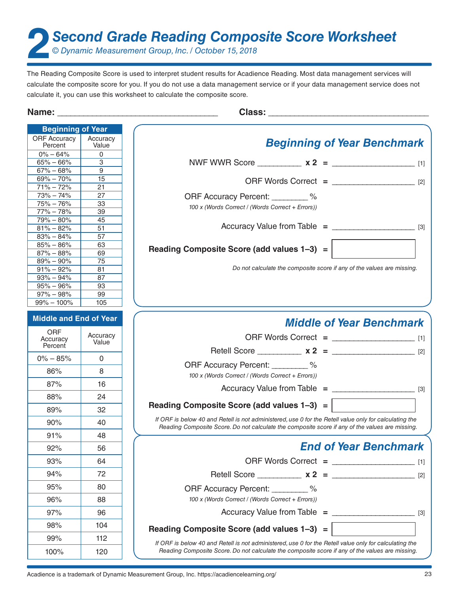**2***Second Grade Reading Composite Score Worksheet*

*© Dynamic Measurement Group, Inc. / October 15, 2018*

| Name:                          |                   | <u> 1980 - Jan Barnett, mars et al. (</u>                                                                                                                                                                 |  |
|--------------------------------|-------------------|-----------------------------------------------------------------------------------------------------------------------------------------------------------------------------------------------------------|--|
| <b>Beginning of Year</b>       |                   |                                                                                                                                                                                                           |  |
| <b>ORF Accuracy</b><br>Percent | Accuracy<br>Value | <b>Beginning of Year Benchmark</b>                                                                                                                                                                        |  |
| $0\% - 64\%$                   | 0                 |                                                                                                                                                                                                           |  |
| $65\% - 66\%$                  | 3                 |                                                                                                                                                                                                           |  |
| $67\% - 68\%$<br>$69\% - 70\%$ | 9<br>15           |                                                                                                                                                                                                           |  |
| $71\% - 72\%$                  | 21                |                                                                                                                                                                                                           |  |
| $73\% - 74\%$                  | 27                | ORF Accuracy Percent: _________ %                                                                                                                                                                         |  |
| $75% - 76%$                    | 33                | 100 x (Words Correct / (Words Correct + Errors))                                                                                                                                                          |  |
| $77\% - 78\%$                  | 39                |                                                                                                                                                                                                           |  |
| $79\% - 80\%$                  | 45                |                                                                                                                                                                                                           |  |
| $81\% - 82\%$<br>$83\% - 84\%$ | 51<br>57          |                                                                                                                                                                                                           |  |
| $85\% - 86\%$                  | 63                |                                                                                                                                                                                                           |  |
| $87\% - 88\%$                  | 69                | Reading Composite Score (add values 1-3) =                                                                                                                                                                |  |
| $89\% - 90\%$                  | 75                |                                                                                                                                                                                                           |  |
| $91\% - 92\%$                  | 81                | Do not calculate the composite score if any of the values are missing.                                                                                                                                    |  |
| $93\% - 94\%$                  | 87<br>93          |                                                                                                                                                                                                           |  |
| $95\% - 96\%$<br>$97\% - 98\%$ | 99                |                                                                                                                                                                                                           |  |
| $99\% - 100\%$                 | 105               |                                                                                                                                                                                                           |  |
| <b>Middle and End of Year</b>  |                   | <b>Middle of Year Benchmark</b>                                                                                                                                                                           |  |
| ORF<br>Accuracy                | Accuracy<br>Value |                                                                                                                                                                                                           |  |
| Percent                        |                   |                                                                                                                                                                                                           |  |
| $0\% - 85\%$                   | $\mathbf{0}$      |                                                                                                                                                                                                           |  |
| 86%                            | 8                 | ORF Accuracy Percent: _________ %<br>100 x (Words Correct / (Words Correct + Errors))                                                                                                                     |  |
| 87%                            | 16                |                                                                                                                                                                                                           |  |
| 88%                            | 24                | Reading Composite Score (add values 1-3) =                                                                                                                                                                |  |
| 89%                            | 32                |                                                                                                                                                                                                           |  |
| 90%                            | 40                | If ORF is below 40 and Retell is not administered, use 0 for the Retell value only for calculating the<br>Reading Composite Score. Do not calculate the composite score if any of the values are missing. |  |
| 91%                            | 48                |                                                                                                                                                                                                           |  |
| 92%                            | 56                | <b>End of Year Benchmark</b>                                                                                                                                                                              |  |
| 93%                            | 64                |                                                                                                                                                                                                           |  |
| 94%                            | 72                | Retell Score $x 2 =$ [2]                                                                                                                                                                                  |  |
| 95%                            | 80                | ORF Accuracy Percent: ________ %                                                                                                                                                                          |  |
| 96%                            | 88                | 100 x (Words Correct / (Words Correct + Errors))                                                                                                                                                          |  |
| 97%                            | 96                | Accuracy Value from Table = $\frac{1}{2}$                                                                                                                                                                 |  |
| 98%                            | 104               | Reading Composite Score (add values 1-3) =                                                                                                                                                                |  |
| 99%                            | 112               | If ORF is below 40 and Retell is not administered, use 0 for the Retell value only for calculating the                                                                                                    |  |
| 100%                           | 120               | Reading Composite Score. Do not calculate the composite score if any of the values are missing.                                                                                                           |  |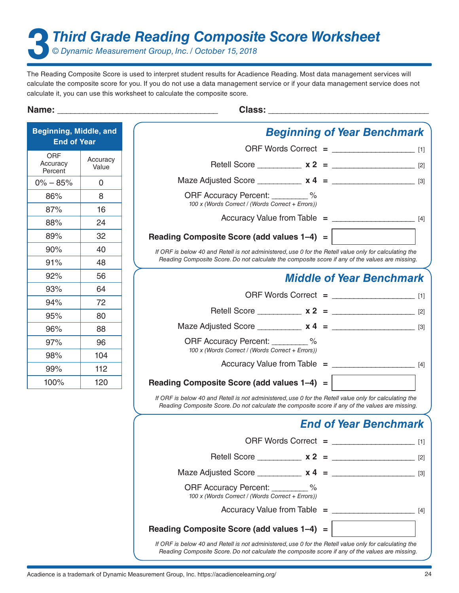**3***Third Grade Reading Composite Score Worksheet*

*© Dynamic Measurement Group, Inc. / October 15, 2018*

The Reading Composite Score is used to interpret student results for Acadience Reading. Most data management services will calculate the composite score for you. If you do not use a data management service or if your data management service does not calculate it, you can use this worksheet to calculate the composite score.

| Beginning, Middle, and<br><b>End of Year</b> |                   | <b>Beginning of Year Benchmark</b>                                                                                                                                                                        |       |
|----------------------------------------------|-------------------|-----------------------------------------------------------------------------------------------------------------------------------------------------------------------------------------------------------|-------|
|                                              |                   | ORF Words Correct = $\frac{1}{2}$ [1]                                                                                                                                                                     |       |
| <b>ORF</b><br>Accuracy<br>Percent            | Accuracy<br>Value |                                                                                                                                                                                                           |       |
| $0\% - 85\%$                                 | $\mathbf{0}$      | Maze Adjusted Score _____________ $x 4 =$ ________________________ [3]                                                                                                                                    |       |
| 86%                                          | 8                 | ORF Accuracy Percent: _________ %                                                                                                                                                                         |       |
| 87%                                          | 16                | 100 x (Words Correct / (Words Correct + Errors))                                                                                                                                                          |       |
| 88%                                          | 24                |                                                                                                                                                                                                           |       |
| 89%                                          | 32                | Reading Composite Score (add values 1-4) =                                                                                                                                                                |       |
| 90%                                          | 40                | If ORF is below 40 and Retell is not administered, use 0 for the Retell value only for calculating the                                                                                                    |       |
| 91%                                          | 48                | Reading Composite Score. Do not calculate the composite score if any of the values are missing.                                                                                                           |       |
| 92%                                          | 56                | <b>Middle of Year Benchmark</b>                                                                                                                                                                           |       |
| 93%                                          | 64                |                                                                                                                                                                                                           |       |
| 94%                                          | 72                |                                                                                                                                                                                                           |       |
| 95%                                          | 80                | Retell Score ____________ $x 2 =$ _______________________ [2]                                                                                                                                             |       |
| 96%                                          | 88                |                                                                                                                                                                                                           |       |
| 97%                                          | 96                | ORF Accuracy Percent: _________ %                                                                                                                                                                         |       |
| 98%                                          | 104               | 100 x (Words Correct / (Words Correct + Errors))                                                                                                                                                          |       |
| 99%                                          | 112               |                                                                                                                                                                                                           |       |
| 100%                                         | 120               | Reading Composite Score (add values 1-4) =                                                                                                                                                                |       |
|                                              |                   | If ORF is below 40 and Retell is not administered, use 0 for the Retell value only for calculating the<br>Reading Composite Score. Do not calculate the composite score if any of the values are missing. |       |
|                                              |                   | <b>End of Year Benchmark</b>                                                                                                                                                                              |       |
|                                              |                   | ORF Words Correct = __________                                                                                                                                                                            | $[1]$ |
|                                              |                   |                                                                                                                                                                                                           |       |
|                                              |                   |                                                                                                                                                                                                           |       |
|                                              |                   | ORF Accuracy Percent: _________ %<br>100 x (Words Correct / (Words Correct + Errors))                                                                                                                     |       |
|                                              |                   | $Accuracy$ Value from Table $=$ [4]                                                                                                                                                                       |       |
|                                              |                   | Reading Composite Score (add values 1-4) =                                                                                                                                                                |       |
|                                              |                   | If ORF is below 40 and Retell is not administered, use 0 for the Retell value only for calculating the<br>Reading Composite Score. Do not calculate the composite score if any of the values are missing. |       |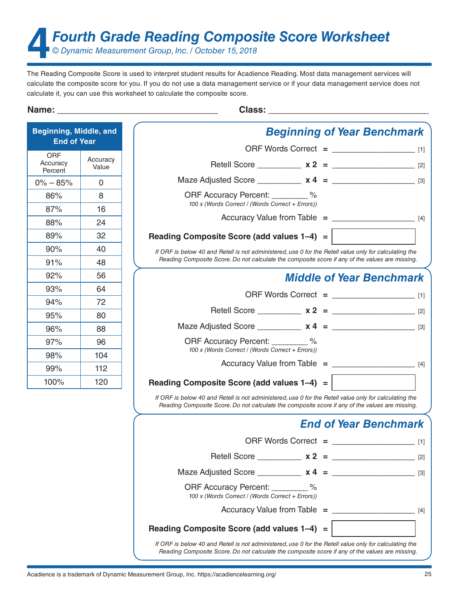**4***Fourth Grade Reading Composite Score Worksheet*

*© Dynamic Measurement Group, Inc. / October 15, 2018*

The Reading Composite Score is used to interpret student results for Acadience Reading. Most data management services will calculate the composite score for you. If you do not use a data management service or if your data management service does not calculate it, you can use this worksheet to calculate the composite score.

| <b>Beginning, Middle, and</b><br><b>End of Year</b> |                   | <b>Beginning of Year Benchmark</b>                                                                                                                                                                        |       |
|-----------------------------------------------------|-------------------|-----------------------------------------------------------------------------------------------------------------------------------------------------------------------------------------------------------|-------|
|                                                     |                   |                                                                                                                                                                                                           |       |
| <b>ORF</b><br>Accuracy<br>Percent                   | Accuracy<br>Value |                                                                                                                                                                                                           |       |
| $0\% - 85\%$                                        | $\mathbf{0}$      |                                                                                                                                                                                                           |       |
| 86%                                                 | 8                 | ORF Accuracy Percent: 2006                                                                                                                                                                                |       |
| 87%                                                 | 16                | 100 x (Words Correct / (Words Correct + Errors))                                                                                                                                                          |       |
| 88%                                                 | 24                |                                                                                                                                                                                                           |       |
| 89%                                                 | 32                | Reading Composite Score (add values 1-4) =                                                                                                                                                                |       |
| 90%                                                 | 40                | If ORF is below 40 and Retell is not administered, use 0 for the Retell value only for calculating the                                                                                                    |       |
| 91%                                                 | 48                | Reading Composite Score. Do not calculate the composite score if any of the values are missing.                                                                                                           |       |
| 92%                                                 | 56                | <b>Middle of Year Benchmark</b>                                                                                                                                                                           |       |
| 93%                                                 | 64                |                                                                                                                                                                                                           |       |
| 94%                                                 | 72                |                                                                                                                                                                                                           |       |
| 95%                                                 | 80                |                                                                                                                                                                                                           |       |
| 96%                                                 | 88                |                                                                                                                                                                                                           |       |
| 97%                                                 | 96                | ORF Accuracy Percent: 2004                                                                                                                                                                                |       |
| 98%                                                 | 104               | 100 x (Words Correct / (Words Correct + Errors))                                                                                                                                                          |       |
| 99%                                                 | 112               |                                                                                                                                                                                                           |       |
| 100%                                                | 120               | Reading Composite Score (add values 1-4) =                                                                                                                                                                |       |
|                                                     |                   | If ORF is below 40 and Retell is not administered, use 0 for the Retell value only for calculating the<br>Reading Composite Score. Do not calculate the composite score if any of the values are missing. |       |
|                                                     |                   | <b>End of Year Benchmark</b>                                                                                                                                                                              |       |
|                                                     |                   | ORF Words Correct $=$                                                                                                                                                                                     | $[1]$ |
|                                                     |                   | Retell Score _____________ $x 2 =$ _______________________ [2]                                                                                                                                            |       |
|                                                     |                   | Maze Adjusted Score $x 4 =$ $\frac{1}{3}$                                                                                                                                                                 |       |
|                                                     |                   | ORF Accuracy Percent: 46<br>100 x (Words Correct / (Words Correct + Errors))                                                                                                                              |       |
|                                                     |                   | Accuracy Value from Table = $\frac{1}{1}$                                                                                                                                                                 |       |
|                                                     |                   | Reading Composite Score (add values 1-4) =                                                                                                                                                                |       |
|                                                     |                   | If ORF is below 40 and Retell is not administered, use 0 for the Retell value only for calculating the<br>Reading Composite Score. Do not calculate the composite score if any of the values are missing. |       |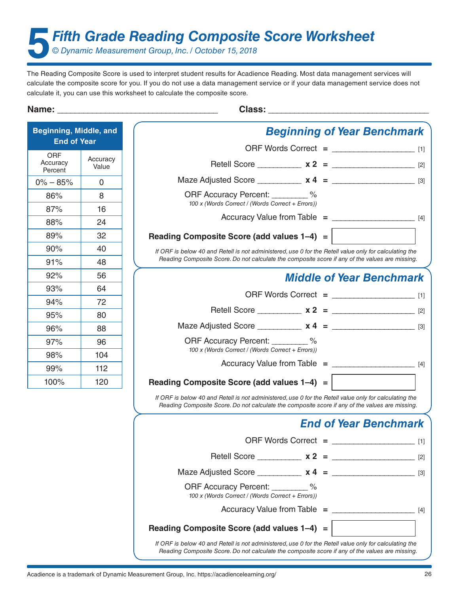**5***Fifth Grade Reading Composite Score Worksheet*

*© Dynamic Measurement Group, Inc. / October 15, 2018*

| Beginning, Middle, and<br><b>End of Year</b> |                   | <b>Beginning of Year Benchmark</b>                                                                                                                                                                        |       |
|----------------------------------------------|-------------------|-----------------------------------------------------------------------------------------------------------------------------------------------------------------------------------------------------------|-------|
|                                              |                   |                                                                                                                                                                                                           |       |
| ORF<br>Accuracy<br>Percent                   | Accuracy<br>Value |                                                                                                                                                                                                           |       |
| $0\% - 85\%$                                 | $\mathbf 0$       | Maze Adjusted Score ____________ $x 4 =$ _________________________ [3]                                                                                                                                    |       |
| 86%                                          | 8                 | ORF Accuracy Percent: 2006                                                                                                                                                                                |       |
| 87%                                          | 16                | 100 x (Words Correct / (Words Correct + Errors))                                                                                                                                                          |       |
| 88%                                          | 24                |                                                                                                                                                                                                           |       |
| 89%                                          | 32                | Reading Composite Score (add values 1-4) =                                                                                                                                                                |       |
| 90%                                          | 40                | If ORF is below 40 and Retell is not administered, use 0 for the Retell value only for calculating the                                                                                                    |       |
| 91%                                          | 48                | Reading Composite Score. Do not calculate the composite score if any of the values are missing.                                                                                                           |       |
| 92%                                          | 56                | <b>Middle of Year Benchmark</b>                                                                                                                                                                           |       |
| 93%                                          | 64                |                                                                                                                                                                                                           |       |
| 94%                                          | 72                |                                                                                                                                                                                                           |       |
| 95%                                          | 80                |                                                                                                                                                                                                           |       |
| 96%                                          | 88                |                                                                                                                                                                                                           |       |
| 97%                                          | 96                | ORF Accuracy Percent: 2004                                                                                                                                                                                |       |
| 98%                                          | 104               | 100 x (Words Correct / (Words Correct + Errors))                                                                                                                                                          |       |
| 99%                                          | 112               |                                                                                                                                                                                                           |       |
| 100%                                         | 120               | Reading Composite Score (add values 1-4) =                                                                                                                                                                |       |
|                                              |                   | If ORF is below 40 and Retell is not administered, use 0 for the Retell value only for calculating the<br>Reading Composite Score. Do not calculate the composite score if any of the values are missing. |       |
|                                              |                   | <b>End of Year Benchmark</b>                                                                                                                                                                              |       |
|                                              |                   | ORF Words Correct = __________                                                                                                                                                                            | $[1]$ |
|                                              |                   | Retell Score $x^2 =$                                                                                                                                                                                      | $[2]$ |
|                                              |                   |                                                                                                                                                                                                           | $[3]$ |
|                                              |                   | ORF Accuracy Percent: ________ %<br>100 x (Words Correct / (Words Correct + Errors))                                                                                                                      |       |
|                                              |                   | Accuracy Value from Table = $\frac{1}{1}$                                                                                                                                                                 |       |
|                                              |                   | Reading Composite Score (add values 1-4) =                                                                                                                                                                |       |
|                                              |                   | If ORF is below 40 and Retell is not administered, use 0 for the Retell value only for calculating the<br>Reading Composite Score. Do not calculate the composite score if any of the values are missing. |       |